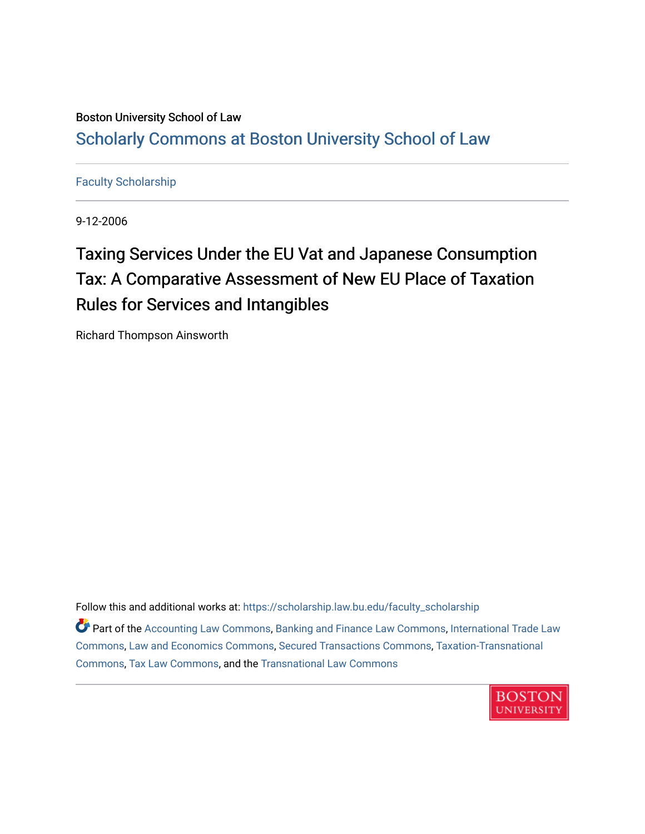## Boston University School of Law [Scholarly Commons at Boston University School of Law](https://scholarship.law.bu.edu/)

#### [Faculty Scholarship](https://scholarship.law.bu.edu/faculty_scholarship)

9-12-2006

# Taxing Services Under the EU Vat and Japanese Consumption Tax: A Comparative Assessment of New EU Place of Taxation Rules for Services and Intangibles

Richard Thompson Ainsworth

Follow this and additional works at: [https://scholarship.law.bu.edu/faculty\\_scholarship](https://scholarship.law.bu.edu/faculty_scholarship?utm_source=scholarship.law.bu.edu%2Ffaculty_scholarship%2F1496&utm_medium=PDF&utm_campaign=PDFCoverPages)

Part of the [Accounting Law Commons](http://network.bepress.com/hgg/discipline/828?utm_source=scholarship.law.bu.edu%2Ffaculty_scholarship%2F1496&utm_medium=PDF&utm_campaign=PDFCoverPages), [Banking and Finance Law Commons](http://network.bepress.com/hgg/discipline/833?utm_source=scholarship.law.bu.edu%2Ffaculty_scholarship%2F1496&utm_medium=PDF&utm_campaign=PDFCoverPages), [International Trade Law](http://network.bepress.com/hgg/discipline/848?utm_source=scholarship.law.bu.edu%2Ffaculty_scholarship%2F1496&utm_medium=PDF&utm_campaign=PDFCoverPages) [Commons](http://network.bepress.com/hgg/discipline/848?utm_source=scholarship.law.bu.edu%2Ffaculty_scholarship%2F1496&utm_medium=PDF&utm_campaign=PDFCoverPages), [Law and Economics Commons](http://network.bepress.com/hgg/discipline/612?utm_source=scholarship.law.bu.edu%2Ffaculty_scholarship%2F1496&utm_medium=PDF&utm_campaign=PDFCoverPages), [Secured Transactions Commons,](http://network.bepress.com/hgg/discipline/876?utm_source=scholarship.law.bu.edu%2Ffaculty_scholarship%2F1496&utm_medium=PDF&utm_campaign=PDFCoverPages) [Taxation-Transnational](http://network.bepress.com/hgg/discipline/883?utm_source=scholarship.law.bu.edu%2Ffaculty_scholarship%2F1496&utm_medium=PDF&utm_campaign=PDFCoverPages)  [Commons](http://network.bepress.com/hgg/discipline/883?utm_source=scholarship.law.bu.edu%2Ffaculty_scholarship%2F1496&utm_medium=PDF&utm_campaign=PDFCoverPages), [Tax Law Commons,](http://network.bepress.com/hgg/discipline/898?utm_source=scholarship.law.bu.edu%2Ffaculty_scholarship%2F1496&utm_medium=PDF&utm_campaign=PDFCoverPages) and the [Transnational Law Commons](http://network.bepress.com/hgg/discipline/1123?utm_source=scholarship.law.bu.edu%2Ffaculty_scholarship%2F1496&utm_medium=PDF&utm_campaign=PDFCoverPages) 

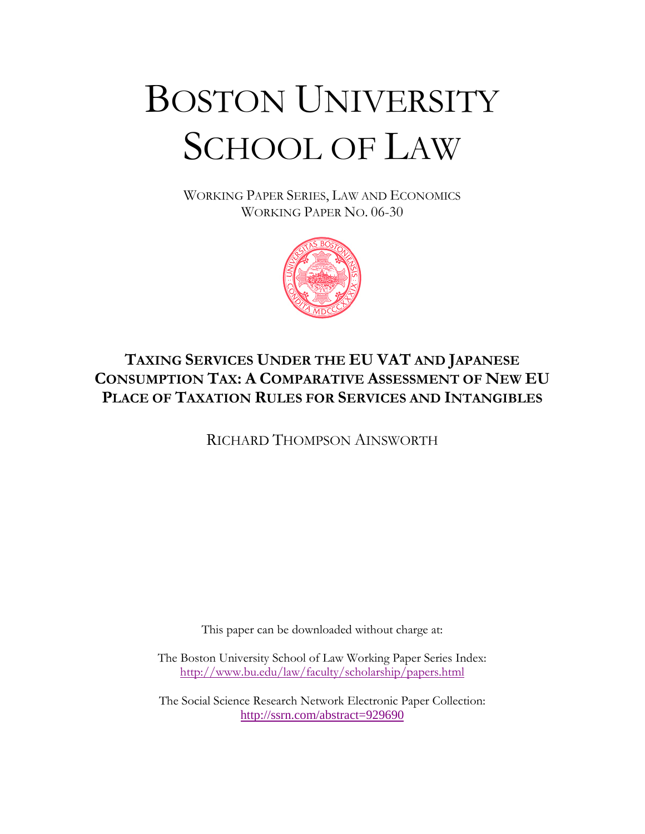# BOSTON UNIVERSITY SCHOOL OF LAW

WORKING PAPER SERIES, LAW AND ECONOMICS WORKING PAPER NO. 06-30



# **TAXING SERVICES UNDER THE EU VAT AND JAPANESE CONSUMPTION TAX: A COMPARATIVE ASSESSMENT OF NEW EU PLACE OF TAXATION RULES FOR SERVICES AND INTANGIBLES**

RICHARD THOMPSON AINSWORTH

This paper can be downloaded without charge at:

The Boston University School of Law Working Paper Series Index: http://www.bu.edu/law/faculty/scholarship/papers.html

The Social Science Research Network Electronic Paper Collection: http://ssrn.com/abstract=929690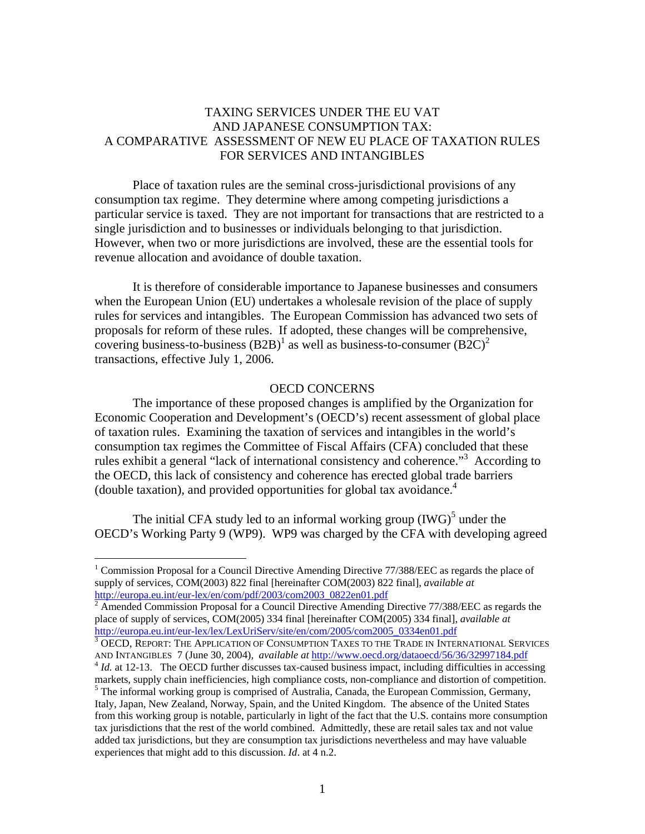#### TAXING SERVICES UNDER THE EU VAT AND JAPANESE CONSUMPTION TAX: A COMPARATIVE ASSESSMENT OF NEW EU PLACE OF TAXATION RULES FOR SERVICES AND INTANGIBLES

Place of taxation rules are the seminal cross-jurisdictional provisions of any consumption tax regime. They determine where among competing jurisdictions a particular service is taxed. They are not important for transactions that are restricted to a single jurisdiction and to businesses or individuals belonging to that jurisdiction. However, when two or more jurisdictions are involved, these are the essential tools for revenue allocation and avoidance of double taxation.

It is therefore of considerable importance to Japanese businesses and consumers when the European Union (EU) undertakes a wholesale revision of the place of supply rules for services and intangibles. The European Commission has advanced two sets of proposals for reform of these rules. If adopted, these changes will be comprehensive, covering business-to-business  $(B2B)^{1}$  as well as business-to-consumer  $(B2C)^{2}$ transactions, effective July 1, 2006.

#### OECD CONCERNS

The importance of these proposed changes is amplified by the Organization for Economic Cooperation and Development's (OECD's) recent assessment of global place of taxation rules. Examining the taxation of services and intangibles in the world's consumption tax regimes the Committee of Fiscal Affairs (CFA) concluded that these rules exhibit a general "lack of international consistency and coherence."<sup>3</sup> According to the OECD, this lack of consistency and coherence has erected global trade barriers (double taxation), and provided opportunities for global tax avoidance.4

The initial CFA study led to an informal working group  $(IWG)^5$  under the OECD's Working Party 9 (WP9). WP9 was charged by the CFA with developing agreed

<sup>&</sup>lt;sup>1</sup> Commission Proposal for a Council Directive Amending Directive 77/388/EEC as regards the place of supply of services, COM(2003) 822 final [hereinafter COM(2003) 822 final], *available at*

http://europa.eu.int/eur-lex/en/com/pdf/2003/com2003\_0822en01.pdf<br><sup>2</sup> Amended Commission Proposal for a Council Directive Amending Directive 77/388/EEC as regards the place of supply of services, COM(2005) 334 final [hereinafter COM(2005) 334 final], *available at* http://europa.eu.int/eur-lex/lex/LexUriServ/site/en/com/2005/com2005\_0334en01.pdf

 $^3$  OECD, REPORT: THE APPLICATION OF CONSUMPTION TAXES TO THE TRADE IN INTERNATIONAL SERVICES<br>AND INTANGIBLES 7 (June 30, 2004), *available at http://www.oecd.org/dataoecd/56/36/32997184.pdf* 

 $4$  *Id.* at 12-13. The OECD further discusses tax-caused business impact, including difficulties in accessing markets, supply chain inefficiencies, high compliance costs, non-compliance and distortion of competition.  $<sup>5</sup>$  The informal working group is comprised of Australia, Canada, the European Commission, Germany,</sup>

Italy, Japan, New Zealand, Norway, Spain, and the United Kingdom. The absence of the United States from this working group is notable, particularly in light of the fact that the U.S. contains more consumption tax jurisdictions that the rest of the world combined. Admittedly, these are retail sales tax and not value added tax jurisdictions, but they are consumption tax jurisdictions nevertheless and may have valuable experiences that might add to this discussion. *Id*. at 4 n.2.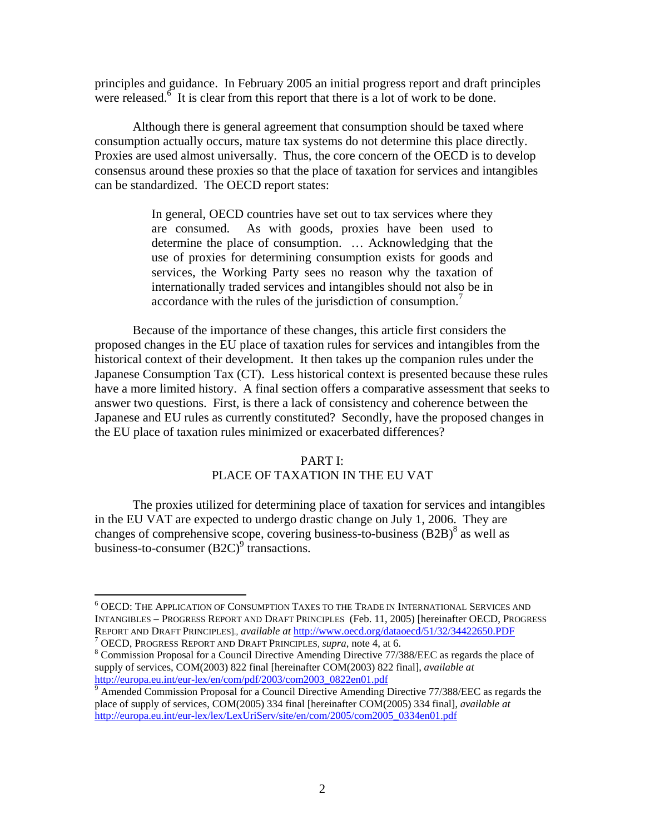principles and guidance. In February 2005 an initial progress report and draft principles were released. $6$  It is clear from this report that there is a lot of work to be done.

 Although there is general agreement that consumption should be taxed where consumption actually occurs, mature tax systems do not determine this place directly. Proxies are used almost universally. Thus, the core concern of the OECD is to develop consensus around these proxies so that the place of taxation for services and intangibles can be standardized. The OECD report states:

> In general, OECD countries have set out to tax services where they are consumed. As with goods, proxies have been used to determine the place of consumption. … Acknowledging that the use of proxies for determining consumption exists for goods and services, the Working Party sees no reason why the taxation of internationally traded services and intangibles should not also be in accordance with the rules of the jurisdiction of consumption.<sup>7</sup>

Because of the importance of these changes, this article first considers the proposed changes in the EU place of taxation rules for services and intangibles from the historical context of their development. It then takes up the companion rules under the Japanese Consumption Tax (CT). Less historical context is presented because these rules have a more limited history. A final section offers a comparative assessment that seeks to answer two questions. First, is there a lack of consistency and coherence between the Japanese and EU rules as currently constituted? Secondly, have the proposed changes in the EU place of taxation rules minimized or exacerbated differences?

#### PART I:

#### PLACE OF TAXATION IN THE EU VAT

The proxies utilized for determining place of taxation for services and intangibles in the EU VAT are expected to undergo drastic change on July 1, 2006. They are changes of comprehensive scope, covering business-to-business  $(B2B)^8$  as well as business-to-consumer  $(B2C)^9$  transactions.

 $^6$  OECD: The Application of Consumption Taxes to the Trade in International Services and INTANGIBLES – PROGRESS REPORT AND DRAFT PRINCIPLES (Feb. 11, 2005) [hereinafter OECD, PROGRESS REPORT AND DRAFT PRINCIPLES]., *available at* http://www.oecd.org/dataoecd/51/32/34422650.PDF <sup>7</sup>

OECD, PROGRESS REPORT AND DRAFT PRINCIPLES, *supra*, note 4, at 6. 8

Commission Proposal for a Council Directive Amending Directive 77/388/EEC as regards the place of supply of services, COM(2003) 822 final [hereinafter COM(2003) 822 final], *available at* http://europa.eu.int/eur-lex/en/com/pdf/2003/com2003\_0822en01.pdf

 $\degree$  Amended Commission Proposal for a Council Directive Amending Directive 77/388/EEC as regards the place of supply of services, COM(2005) 334 final [hereinafter COM(2005) 334 final], *available at* http://europa.eu.int/eur-lex/lex/LexUriServ/site/en/com/2005/com2005\_0334en01.pdf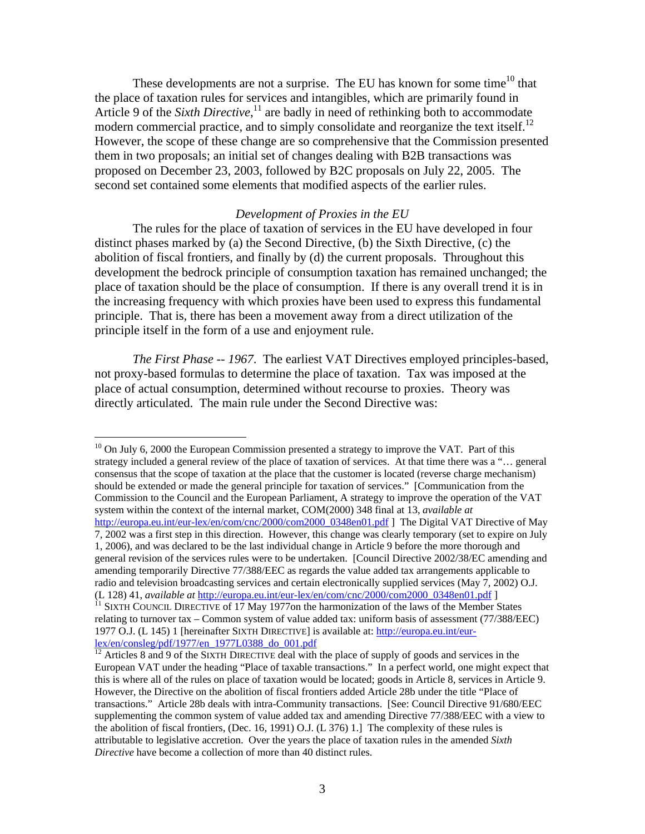These developments are not a surprise. The EU has known for some time<sup>10</sup> that the place of taxation rules for services and intangibles, which are primarily found in Article 9 of the *Sixth Directive*,<sup>11</sup> are badly in need of rethinking both to accommodate modern commercial practice, and to simply consolidate and reorganize the text itself.<sup>12</sup> However, the scope of these change are so comprehensive that the Commission presented them in two proposals; an initial set of changes dealing with B2B transactions was proposed on December 23, 2003, followed by B2C proposals on July 22, 2005. The second set contained some elements that modified aspects of the earlier rules.

#### *Development of Proxies in the EU*

 The rules for the place of taxation of services in the EU have developed in four distinct phases marked by (a) the Second Directive, (b) the Sixth Directive, (c) the abolition of fiscal frontiers, and finally by (d) the current proposals. Throughout this development the bedrock principle of consumption taxation has remained unchanged; the place of taxation should be the place of consumption. If there is any overall trend it is in the increasing frequency with which proxies have been used to express this fundamental principle. That is, there has been a movement away from a direct utilization of the principle itself in the form of a use and enjoyment rule.

*The First Phase -- 1967*. The earliest VAT Directives employed principles-based, not proxy-based formulas to determine the place of taxation. Tax was imposed at the place of actual consumption, determined without recourse to proxies. Theory was directly articulated. The main rule under the Second Directive was:

1

 $10$  On July 6, 2000 the European Commission presented a strategy to improve the VAT. Part of this strategy included a general review of the place of taxation of services. At that time there was a "… general consensus that the scope of taxation at the place that the customer is located (reverse charge mechanism) should be extended or made the general principle for taxation of services." [Communication from the Commission to the Council and the European Parliament, A strategy to improve the operation of the VAT system within the context of the internal market, COM(2000) 348 final at 13, *available at* http://europa.eu.int/eur-lex/en/com/cnc/2000/com2000\_0348en01.pdf ] The Digital VAT Directive of May 7, 2002 was a first step in this direction. However, this change was clearly temporary (set to expire on July 1, 2006), and was declared to be the last individual change in Article 9 before the more thorough and general revision of the services rules were to be undertaken. [Council Directive 2002/38/EC amending and amending temporarily Directive 77/388/EEC as regards the value added tax arrangements applicable to radio and television broadcasting services and certain electronically supplied services (May 7, 2002) O.J.

<sup>(</sup>L 128) 41, *available at* http://europa.eu.int/eur-lex/en/com/cnc/2000/com2000\_0348en01.pdf ] 11 SIXTH COUNCIL DIRECTIVE of 17 May 1977on the harmonization of the laws of the Member States relating to turnover tax – Common system of value added tax: uniform basis of assessment (77/388/EEC) 1977 O.J. (L 145) 1 [hereinafter SIXTH DIRECTIVE] is available at: http://europa.eu.int/eurlex/en/consleg/pdf/1977/en\_1977L0388\_do\_001.pdf

 $12$  Articles 8 and 9 of the SIXTH DIRECTIVE deal with the place of supply of goods and services in the European VAT under the heading "Place of taxable transactions." In a perfect world, one might expect that this is where all of the rules on place of taxation would be located; goods in Article 8, services in Article 9. However, the Directive on the abolition of fiscal frontiers added Article 28b under the title "Place of transactions." Article 28b deals with intra-Community transactions. [See: Council Directive 91/680/EEC supplementing the common system of value added tax and amending Directive 77/388/EEC with a view to the abolition of fiscal frontiers, (Dec. 16, 1991) O.J. (L 376) 1.] The complexity of these rules is attributable to legislative accretion. Over the years the place of taxation rules in the amended *Sixth Directive* have become a collection of more than 40 distinct rules.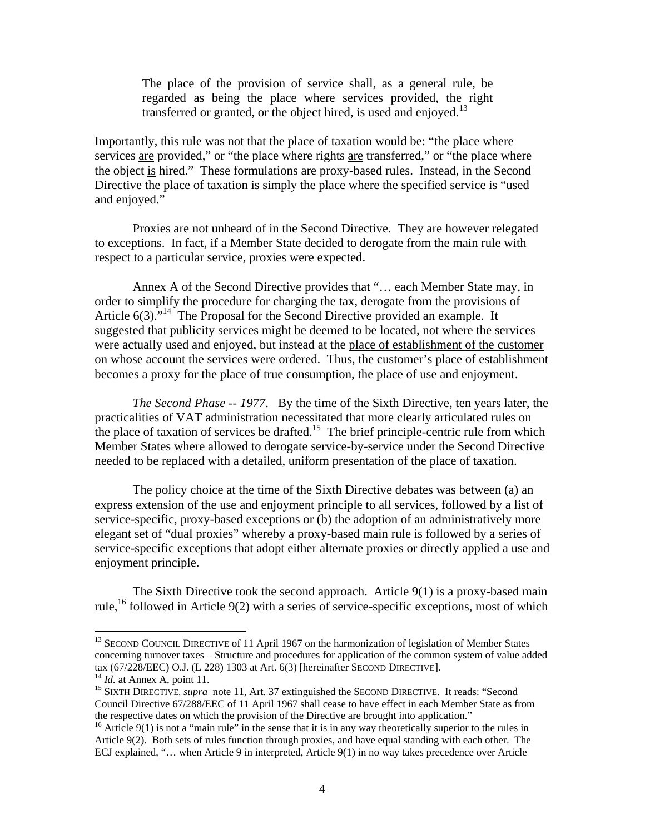The place of the provision of service shall, as a general rule, be regarded as being the place where services provided, the right transferred or granted, or the object hired, is used and enjoyed.<sup>13</sup>

Importantly, this rule was not that the place of taxation would be: "the place where services are provided," or "the place where rights are transferred," or "the place where the object is hired." These formulations are proxy-based rules. Instead, in the Second Directive the place of taxation is simply the place where the specified service is "used and enjoyed."

Proxies are not unheard of in the Second Directive*.* They are however relegated to exceptions. In fact, if a Member State decided to derogate from the main rule with respect to a particular service, proxies were expected.

 Annex A of the Second Directive provides that "… each Member State may, in order to simplify the procedure for charging the tax, derogate from the provisions of Article 6(3).<sup>"14</sup> The Proposal for the Second Directive provided an example. It suggested that publicity services might be deemed to be located, not where the services were actually used and enjoyed, but instead at the place of establishment of the customer on whose account the services were ordered. Thus, the customer's place of establishment becomes a proxy for the place of true consumption, the place of use and enjoyment.

*The Second Phase -- 1977*. By the time of the Sixth Directive, ten years later, the practicalities of VAT administration necessitated that more clearly articulated rules on the place of taxation of services be drafted.<sup>15</sup> The brief principle-centric rule from which Member States where allowed to derogate service-by-service under the Second Directive needed to be replaced with a detailed, uniform presentation of the place of taxation.

The policy choice at the time of the Sixth Directive debates was between (a) an express extension of the use and enjoyment principle to all services, followed by a list of service-specific, proxy-based exceptions or (b) the adoption of an administratively more elegant set of "dual proxies" whereby a proxy-based main rule is followed by a series of service-specific exceptions that adopt either alternate proxies or directly applied a use and enjoyment principle.

 The Sixth Directive took the second approach. Article 9(1) is a proxy-based main rule,<sup>16</sup> followed in Article 9(2) with a series of service-specific exceptions, most of which

<sup>&</sup>lt;sup>13</sup> SECOND COUNCIL DIRECTIVE of 11 April 1967 on the harmonization of legislation of Member States concerning turnover taxes – Structure and procedures for application of the common system of value added tax (67/228/EEC) O.J. (L 228) 1303 at Art. 6(3) [hereinafter SECOND DIRECTIVE].<br><sup>14</sup> *Id.* at Annex A, point 11.<br><sup>15</sup> SIXTH DIRECTIVE, *supra* note 11, Art. 37 extinguished the SECOND DIRECTIVE. It reads: "Second

Council Directive 67/288/EEC of 11 April 1967 shall cease to have effect in each Member State as from the respective dates on which the provision of the Directive are brought into application."

<sup>&</sup>lt;sup>16</sup> Article 9(1) is not a "main rule" in the sense that it is in any way theoretically superior to the rules in Article 9(2). Both sets of rules function through proxies, and have equal standing with each other. The ECJ explained, "… when Article 9 in interpreted, Article 9(1) in no way takes precedence over Article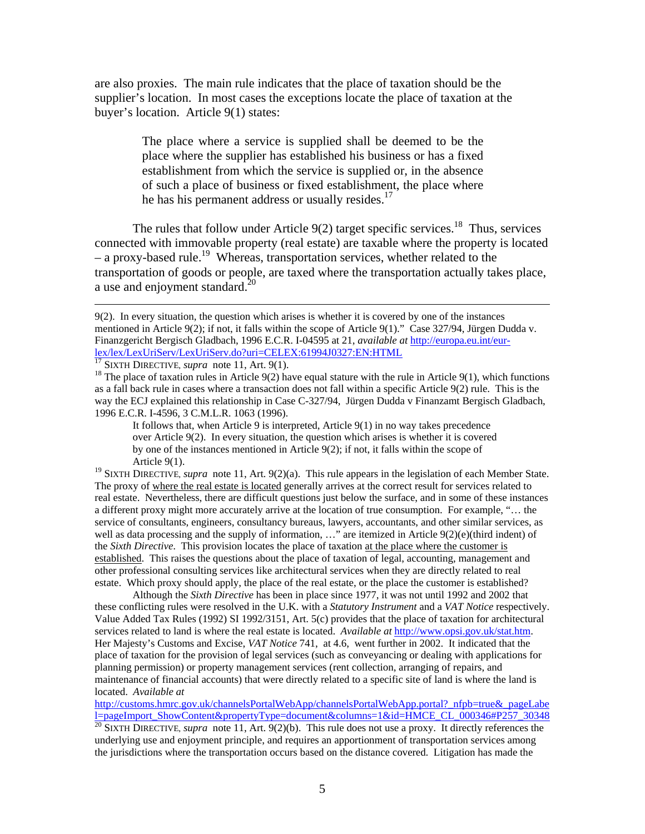are also proxies. The main rule indicates that the place of taxation should be the supplier's location. In most cases the exceptions locate the place of taxation at the buyer's location. Article 9(1) states:

> The place where a service is supplied shall be deemed to be the place where the supplier has established his business or has a fixed establishment from which the service is supplied or, in the absence of such a place of business or fixed establishment, the place where he has his permanent address or usually resides. $^{17}$

The rules that follow under Article  $9(2)$  target specific services.<sup>18</sup> Thus, services connected with immovable property (real estate) are taxable where the property is located  $-$  a proxy-based rule.<sup>19</sup> Whereas, transportation services, whether related to the transportation of goods or people, are taxed where the transportation actually takes place, a use and enjoyment standard. $^{20}$ 

It follows that, when Article 9 is interpreted, Article 9(1) in no way takes precedence over Article 9(2). In every situation, the question which arises is whether it is covered by one of the instances mentioned in Article 9(2); if not, it falls within the scope of Article 9(1).

<sup>19</sup> SIXTH DIRECTIVE, *supra* note 11, Art. 9(2)(a). This rule appears in the legislation of each Member State. The proxy of where the real estate is located generally arrives at the correct result for services related to real estate. Nevertheless, there are difficult questions just below the surface, and in some of these instances a different proxy might more accurately arrive at the location of true consumption. For example, "… the service of consultants, engineers, consultancy bureaus, lawyers, accountants, and other similar services, as well as data processing and the supply of information, ..." are itemized in Article 9(2)(e)(third indent) of the *Sixth Directive*. This provision locates the place of taxation at the place where the customer is established. This raises the questions about the place of taxation of legal, accounting, management and other professional consulting services like architectural services when they are directly related to real estate. Which proxy should apply, the place of the real estate, or the place the customer is established?

Although the *Sixth Directive* has been in place since 1977, it was not until 1992 and 2002 that these conflicting rules were resolved in the U.K. with a *Statutory Instrument* and a *VAT Notice* respectively. Value Added Tax Rules (1992) SI 1992/3151, Art. 5(c) provides that the place of taxation for architectural services related to land is where the real estate is located. *Available at* http://www.opsi.gov.uk/stat.htm. Her Majesty's Customs and Excise, *VAT Notice* 741, at 4.6, went further in 2002. It indicated that the place of taxation for the provision of legal services (such as conveyancing or dealing with applications for planning permission) or property management services (rent collection, arranging of repairs, and maintenance of financial accounts) that were directly related to a specific site of land is where the land is located. *Available at*

http://customs.hmrc.gov.uk/channelsPortalWebApp/channelsPortalWebApp.portal?\_nfpb=true&\_pageLabe l=pageImport\_ShowContent&propertyType=document&columns=1&id=HMCE\_CL\_000346#P257\_30348 <sup>20</sup> SIXTH DIRECTIVE, *supra* note 11, Art. 9(2)(b). This rule does not use a proxy. It directly references the

underlying use and enjoyment principle, and requires an apportionment of transportation services among the jurisdictions where the transportation occurs based on the distance covered. Litigation has made the

 <sup>9(2).</sup> In every situation, the question which arises is whether it is covered by one of the instances mentioned in Article 9(2); if not, it falls within the scope of Article 9(1)." Case 327/94, Jürgen Dudda v. Finanzgericht Bergisch Gladbach, 1996 E.C.R. I-04595 at 21, *available at* http://europa.eu.int/eur- $\frac{lex/LexUriserv/LexUrisPerv.do?uri=CELEX:61994J0327:EN:HTML}{^{17}$  SIXTH DIRECTIVE, *supra* note 11, Art. 9(1).<br><sup>17</sup> SIXTH DIRECTIVE, *supra* note 11, Art. 9(1).<br><sup>18</sup> The place of taxation rules in Article 9(2) have equal stature with the rul

as a fall back rule in cases where a transaction does not fall within a specific Article 9(2) rule. This is the way the ECJ explained this relationship in Case C-327/94, Jürgen Dudda v Finanzamt Bergisch Gladbach, 1996 E.C.R. I-4596, 3 C.M.L.R. 1063 (1996).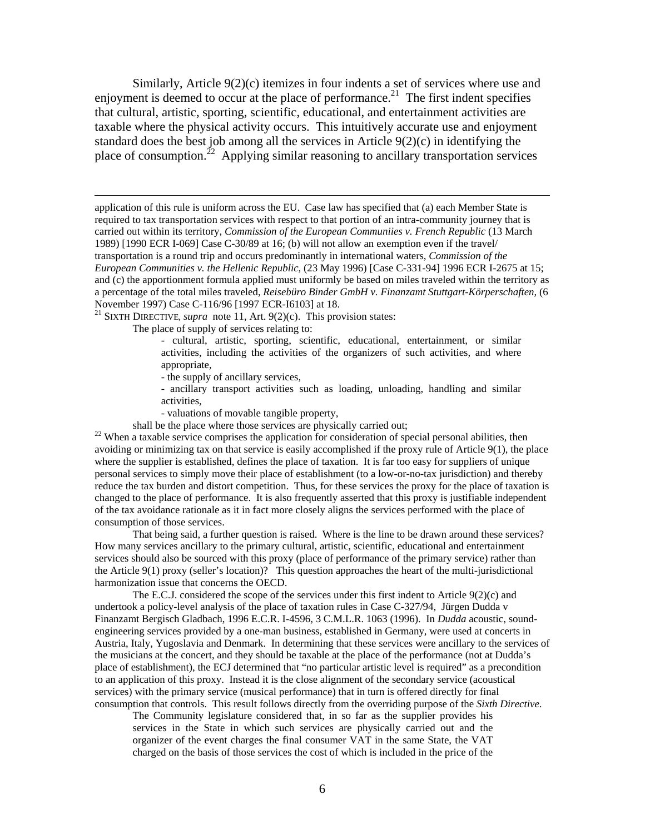Similarly, Article 9(2)(c) itemizes in four indents a set of services where use and enjoyment is deemed to occur at the place of performance.<sup>21</sup> The first indent specifies that cultural, artistic, sporting, scientific, educational, and entertainment activities are taxable where the physical activity occurs. This intuitively accurate use and enjoyment standard does the best job among all the services in Article 9(2)(c) in identifying the place of consumption.<sup>22</sup> Applying similar reasoning to ancillary transportation services

 application of this rule is uniform across the EU. Case law has specified that (a) each Member State is required to tax transportation services with respect to that portion of an intra-community journey that is carried out within its territory, *Commission of the European Communiies v. French Republic* (13 March 1989) [1990 ECR I-069] Case C-30/89 at 16; (b) will not allow an exemption even if the travel/ transportation is a round trip and occurs predominantly in international waters, *Commission of the European Communities v. the Hellenic Republic*, (23 May 1996) [Case C-331-94] 1996 ECR I-2675 at 15; and (c) the apportionment formula applied must uniformly be based on miles traveled within the territory as a percentage of the total miles traveled, *Reisebüro Binder GmbH v. Finanzamt Stuttgart-Körperschaften*, (6 November 1997) Case C-116/96 [1997 ECR-I6103] at 18.

21 SIXTH DIRECTIVE, *supra* note 11, Art. 9(2)(c). This provision states:

The place of supply of services relating to:

- cultural, artistic, sporting, scientific, educational, entertainment, or similar activities, including the activities of the organizers of such activities, and where appropriate,

- the supply of ancillary services,

- ancillary transport activities such as loading, unloading, handling and similar activities,

- valuations of movable tangible property,

shall be the place where those services are physically carried out;<br><sup>22</sup> When a taxable service comprises the application for consideration of special personal abilities, then avoiding or minimizing tax on that service is easily accomplished if the proxy rule of Article 9(1), the place where the supplier is established, defines the place of taxation. It is far too easy for suppliers of unique personal services to simply move their place of establishment (to a low-or-no-tax jurisdiction) and thereby reduce the tax burden and distort competition. Thus, for these services the proxy for the place of taxation is changed to the place of performance. It is also frequently asserted that this proxy is justifiable independent of the tax avoidance rationale as it in fact more closely aligns the services performed with the place of consumption of those services.

That being said, a further question is raised. Where is the line to be drawn around these services? How many services ancillary to the primary cultural, artistic, scientific, educational and entertainment services should also be sourced with this proxy (place of performance of the primary service) rather than the Article 9(1) proxy (seller's location)? This question approaches the heart of the multi-jurisdictional harmonization issue that concerns the OECD.

The E.C.J. considered the scope of the services under this first indent to Article 9(2)(c) and undertook a policy-level analysis of the place of taxation rules in Case C-327/94, Jürgen Dudda v Finanzamt Bergisch Gladbach, 1996 E.C.R. I-4596, 3 C.M.L.R. 1063 (1996). In *Dudda* acoustic, soundengineering services provided by a one-man business, established in Germany, were used at concerts in Austria, Italy, Yugoslavia and Denmark. In determining that these services were ancillary to the services of the musicians at the concert, and they should be taxable at the place of the performance (not at Dudda's place of establishment), the ECJ determined that "no particular artistic level is required" as a precondition to an application of this proxy. Instead it is the close alignment of the secondary service (acoustical services) with the primary service (musical performance) that in turn is offered directly for final consumption that controls. This result follows directly from the overriding purpose of the *Sixth Directive*.

The Community legislature considered that, in so far as the supplier provides his services in the State in which such services are physically carried out and the organizer of the event charges the final consumer VAT in the same State, the VAT charged on the basis of those services the cost of which is included in the price of the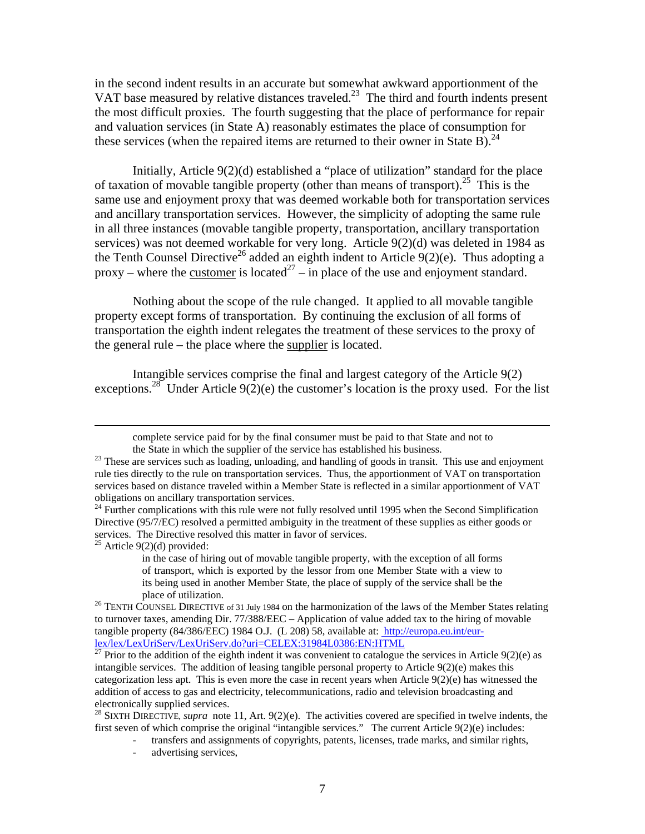in the second indent results in an accurate but somewhat awkward apportionment of the VAT base measured by relative distances traveled.<sup>23</sup> The third and fourth indents present the most difficult proxies. The fourth suggesting that the place of performance for repair and valuation services (in State A) reasonably estimates the place of consumption for these services (when the repaired items are returned to their owner in State B).<sup>24</sup>

Initially, Article 9(2)(d) established a "place of utilization" standard for the place of taxation of movable tangible property (other than means of transport).<sup>25</sup> This is the same use and enjoyment proxy that was deemed workable both for transportation services and ancillary transportation services. However, the simplicity of adopting the same rule in all three instances (movable tangible property, transportation, ancillary transportation services) was not deemed workable for very long. Article 9(2)(d) was deleted in 1984 as the Tenth Counsel Directive<sup>26</sup> added an eighth indent to Article  $9(2)(e)$ . Thus adopting a proxy – where the <u>customer</u> is located<sup>27</sup> – in place of the use and enjoyment standard.

Nothing about the scope of the rule changed. It applied to all movable tangible property except forms of transportation. By continuing the exclusion of all forms of transportation the eighth indent relegates the treatment of these services to the proxy of the general rule – the place where the supplier is located.

Intangible services comprise the final and largest category of the Article 9(2) exceptions.<sup>28</sup> Under Article  $9(2)(e)$  the customer's location is the proxy used. For the list

 $25$  Article 9(2)(d) provided:

advertising services,

complete service paid for by the final consumer must be paid to that State and not to

the State in which the supplier of the service has established his business.<br><sup>23</sup> These are services such as loading, unloading, and handling of goods in transit. This use and enjoyment rule ties directly to the rule on transportation services. Thus, the apportionment of VAT on transportation services based on distance traveled within a Member State is reflected in a similar apportionment of VAT obligations on ancillary transportation services.

 $24$  Further complications with this rule were not fully resolved until 1995 when the Second Simplification Directive (95/7/EC) resolved a permitted ambiguity in the treatment of these supplies as either goods or services. The Directive resolved this matter in favor of services.

in the case of hiring out of movable tangible property, with the exception of all forms of transport, which is exported by the lessor from one Member State with a view to its being used in another Member State, the place of supply of the service shall be the

place of utilization.<br><sup>26</sup> TENTH COUNSEL DIRECTIVE of 31 July 1984 on the harmonization of the laws of the Member States relating to turnover taxes, amending Dir. 77/388/EEC – Application of value added tax to the hiring of movable tangible property (84/386/EEC) 1984 O.J. (L 208) 58, available at: http://europa.eu.int/eurlex/lex/LexUriServ/LexUriServ.do?uri=CELEX:31984L0386:EN:HTML

<sup>&</sup>lt;sup>27</sup> Prior to the addition of the eighth indent it was convenient to catalogue the services in Article  $9(2)(e)$  as intangible services. The addition of leasing tangible personal property to Article  $9(2)(e)$  makes this categorization less apt. This is even more the case in recent years when Article 9(2)(e) has witnessed the addition of access to gas and electricity, telecommunications, radio and television broadcasting and electronically supplied services.

<sup>&</sup>lt;sup>28</sup> SIXTH DIRECTIVE, *supra* note 11, Art. 9(2)(e). The activities covered are specified in twelve indents, the first seven of which comprise the original "intangible services." The current Article 9(2)(e) includes:

transfers and assignments of copyrights, patents, licenses, trade marks, and similar rights,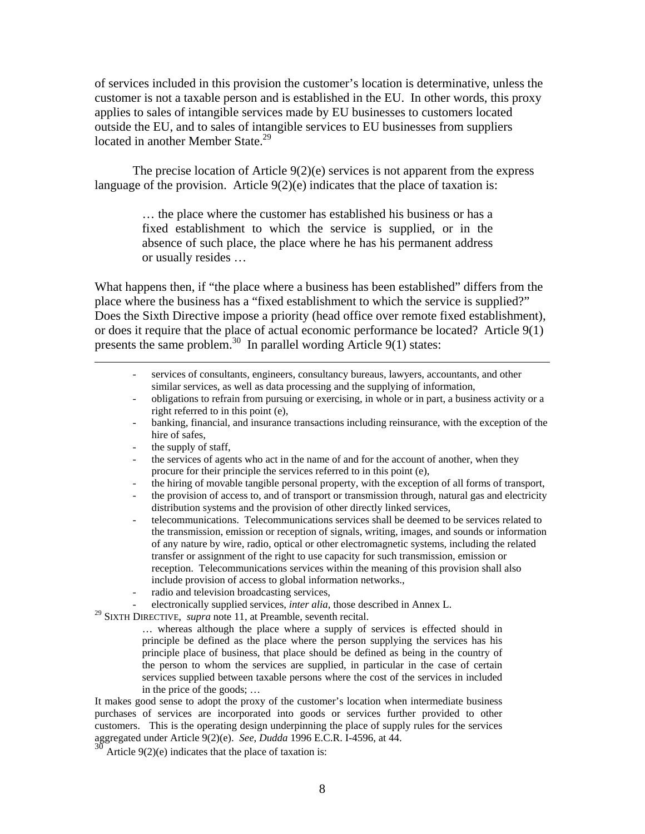of services included in this provision the customer's location is determinative, unless the customer is not a taxable person and is established in the EU. In other words, this proxy applies to sales of intangible services made by EU businesses to customers located outside the EU, and to sales of intangible services to EU businesses from suppliers located in another Member State.<sup>29</sup>

The precise location of Article 9(2)(e) services is not apparent from the express language of the provision. Article  $9(2)(e)$  indicates that the place of taxation is:

> … the place where the customer has established his business or has a fixed establishment to which the service is supplied, or in the absence of such place, the place where he has his permanent address or usually resides …

What happens then, if "the place where a business has been established" differs from the place where the business has a "fixed establishment to which the service is supplied?" Does the Sixth Directive impose a priority (head office over remote fixed establishment), or does it require that the place of actual economic performance be located? Article 9(1) presents the same problem.30 In parallel wording Article 9(1) states:

- services of consultants, engineers, consultancy bureaus, lawyers, accountants, and other similar services, as well as data processing and the supplying of information,
- obligations to refrain from pursuing or exercising, in whole or in part, a business activity or a right referred to in this point (e),
- banking, financial, and insurance transactions including reinsurance, with the exception of the hire of safes,
- the supply of staff,
- the services of agents who act in the name of and for the account of another, when they procure for their principle the services referred to in this point (e),
- the hiring of movable tangible personal property, with the exception of all forms of transport,
- the provision of access to, and of transport or transmission through, natural gas and electricity distribution systems and the provision of other directly linked services,
- telecommunications. Telecommunications services shall be deemed to be services related to the transmission, emission or reception of signals, writing, images, and sounds or information of any nature by wire, radio, optical or other electromagnetic systems, including the related transfer or assignment of the right to use capacity for such transmission, emission or reception. Telecommunications services within the meaning of this provision shall also include provision of access to global information networks.,
- radio and television broadcasting services,
- electronically supplied services, *inter alia*, those described in Annex L.

29 SIXTH DIRECTIVE, *supra* note 11, at Preamble, seventh recital.

… whereas although the place where a supply of services is effected should in principle be defined as the place where the person supplying the services has his principle place of business, that place should be defined as being in the country of the person to whom the services are supplied, in particular in the case of certain services supplied between taxable persons where the cost of the services in included in the price of the goods; …

It makes good sense to adopt the proxy of the customer's location when intermediate business purchases of services are incorporated into goods or services further provided to other customers. This is the operating design underpinning the place of supply rules for the services aggregated under Article 9(2)(e). *See*, *Dudda* 1996 E.C.R. I-4596, at 44.

 $30<sup>30</sup>$  Article 9(2)(e) indicates that the place of taxation is: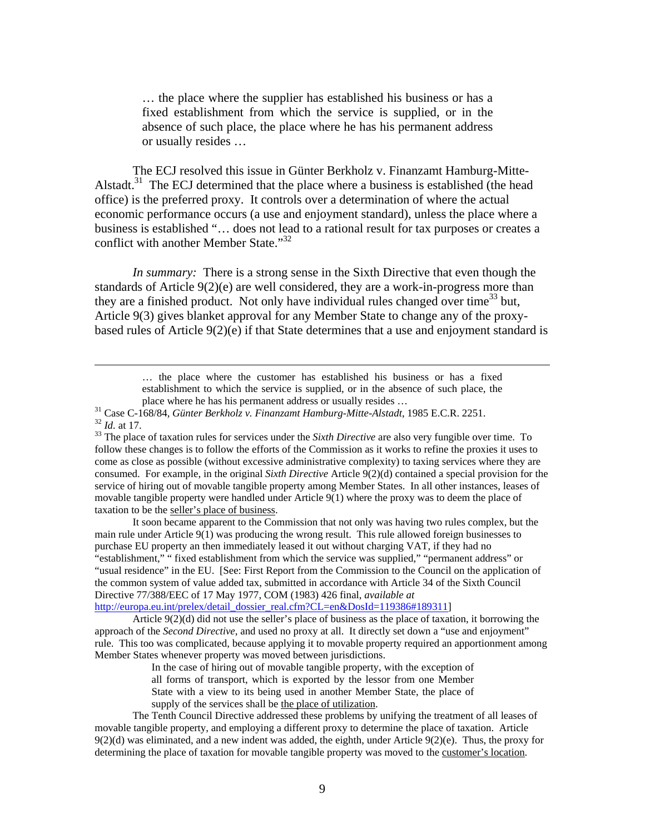… the place where the supplier has established his business or has a fixed establishment from which the service is supplied, or in the absence of such place, the place where he has his permanent address or usually resides …

The ECJ resolved this issue in Günter Berkholz v. Finanzamt Hamburg-Mitte-Alstadt. $31$  The ECJ determined that the place where a business is established (the head office) is the preferred proxy. It controls over a determination of where the actual economic performance occurs (a use and enjoyment standard), unless the place where a business is established "… does not lead to a rational result for tax purposes or creates a conflict with another Member State."<sup>32</sup>

*In summary:* There is a strong sense in the Sixth Directive that even though the standards of Article 9(2)(e) are well considered, they are a work-in-progress more than they are a finished product. Not only have individual rules changed over time<sup>33</sup> but, Article 9(3) gives blanket approval for any Member State to change any of the proxybased rules of Article 9(2)(e) if that State determines that a use and enjoyment standard is

> … the place where the customer has established his business or has a fixed establishment to which the service is supplied, or in the absence of such place, the

follow these changes is to follow the efforts of the Commission as it works to refine the proxies it uses to come as close as possible (without excessive administrative complexity) to taxing services where they are consumed. For example, in the original *Sixth Directive* Article 9(2)(d) contained a special provision for the service of hiring out of movable tangible property among Member States. In all other instances, leases of movable tangible property were handled under Article 9(1) where the proxy was to deem the place of taxation to be the seller's place of business.

It soon became apparent to the Commission that not only was having two rules complex, but the main rule under Article 9(1) was producing the wrong result. This rule allowed foreign businesses to purchase EU property an then immediately leased it out without charging VAT, if they had no "establishment," " fixed establishment from which the service was supplied," "permanent address" or "usual residence" in the EU. [See: First Report from the Commission to the Council on the application of the common system of value added tax, submitted in accordance with Article 34 of the Sixth Council Directive 77/388/EEC of 17 May 1977, COM (1983) 426 final, *available at* http://europa.eu.int/prelex/detail\_dossier\_real.cfm?CL=en&DosId=119386#189311]

Article 9(2)(d) did not use the seller's place of business as the place of taxation, it borrowing the approach of the *Second Directive*, and used no proxy at all. It directly set down a "use and enjoyment" rule. This too was complicated, because applying it to movable property required an apportionment among Member States whenever property was moved between jurisdictions.

> In the case of hiring out of movable tangible property, with the exception of all forms of transport, which is exported by the lessor from one Member State with a view to its being used in another Member State, the place of supply of the services shall be the place of utilization.

The Tenth Council Directive addressed these problems by unifying the treatment of all leases of movable tangible property, and employing a different proxy to determine the place of taxation. Article  $9(2)(d)$  was eliminated, and a new indent was added, the eighth, under Article  $9(2)(e)$ . Thus, the proxy for determining the place of taxation for movable tangible property was moved to the customer's location.

place where he has his permanent address or usually resides ...<br><sup>31</sup> Case C-168/84, *Günter Berkholz v. Finanzamt Hamburg-Mitte-Alstadt*, 1985 E.C.R. 2251.<br><sup>32</sup> Id. at 17.<br><sup>33</sup> The place of taxation rules for services und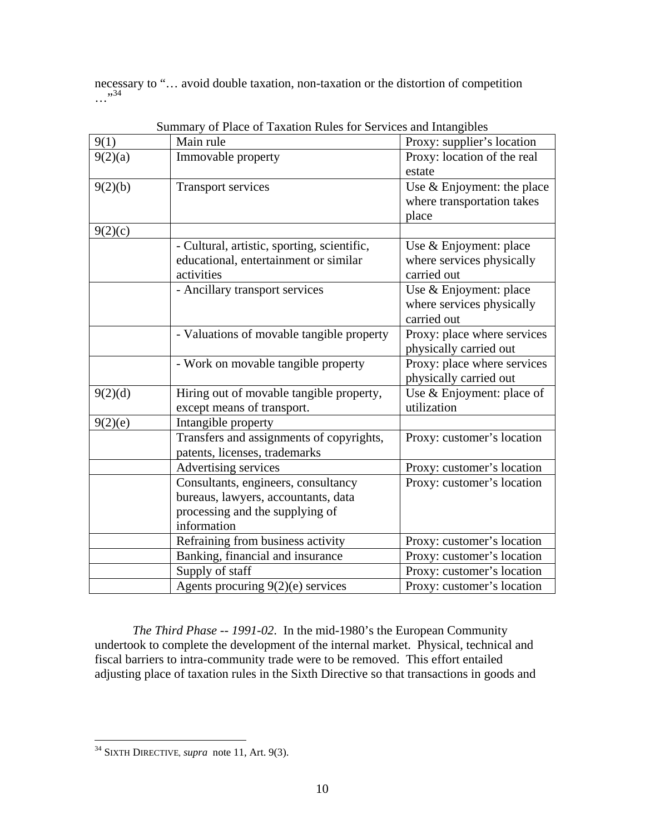necessary to "… avoid double taxation, non-taxation or the distortion of competition  $\ldots$ <sup>34</sup>

| 9(1)    | $\beta$ of the contract of the angle of the contract of set vices and imaggious<br>Main rule | Proxy: supplier's location  |
|---------|----------------------------------------------------------------------------------------------|-----------------------------|
| 9(2)(a) | Immovable property                                                                           | Proxy: location of the real |
|         |                                                                                              | estate                      |
| 9(2)(b) | <b>Transport services</b>                                                                    | Use & Enjoyment: the place  |
|         |                                                                                              | where transportation takes  |
|         |                                                                                              | place                       |
| 9(2)(c) |                                                                                              |                             |
|         | - Cultural, artistic, sporting, scientific,                                                  | Use & Enjoyment: place      |
|         | educational, entertainment or similar                                                        | where services physically   |
|         | activities                                                                                   | carried out                 |
|         | - Ancillary transport services                                                               | Use & Enjoyment: place      |
|         |                                                                                              | where services physically   |
|         |                                                                                              | carried out                 |
|         | - Valuations of movable tangible property                                                    | Proxy: place where services |
|         |                                                                                              | physically carried out      |
|         | - Work on movable tangible property                                                          | Proxy: place where services |
|         |                                                                                              | physically carried out      |
| 9(2)(d) | Hiring out of movable tangible property,                                                     | Use & Enjoyment: place of   |
|         | except means of transport.                                                                   | utilization                 |
| 9(2)(e) | Intangible property                                                                          |                             |
|         | Transfers and assignments of copyrights,                                                     | Proxy: customer's location  |
|         | patents, licenses, trademarks                                                                |                             |
|         | Advertising services                                                                         | Proxy: customer's location  |
|         | Consultants, engineers, consultancy                                                          | Proxy: customer's location  |
|         | bureaus, lawyers, accountants, data                                                          |                             |
|         | processing and the supplying of                                                              |                             |
|         | information                                                                                  |                             |
|         | Refraining from business activity                                                            | Proxy: customer's location  |
|         | Banking, financial and insurance                                                             | Proxy: customer's location  |
|         | Supply of staff                                                                              | Proxy: customer's location  |
|         | Agents procuring 9(2)(e) services                                                            | Proxy: customer's location  |

Summary of Place of Taxation Rules for Services and Intangibles

*The Third Phase -- 1991-02*. In the mid-1980's the European Community undertook to complete the development of the internal market. Physical, technical and fiscal barriers to intra-community trade were to be removed. This effort entailed adjusting place of taxation rules in the Sixth Directive so that transactions in goods and

<sup>34</sup> SIXTH DIRECTIVE, *supra* note 11, Art. 9(3).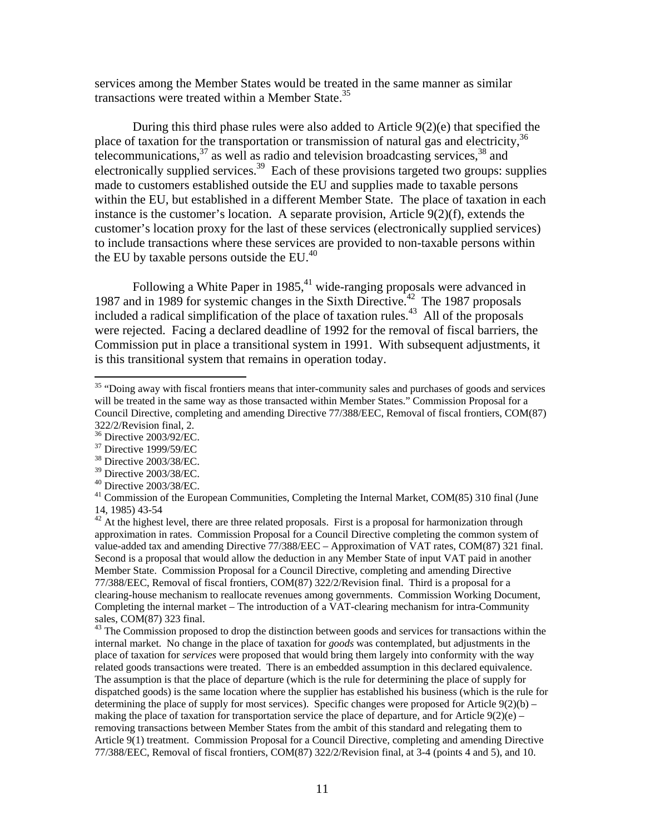services among the Member States would be treated in the same manner as similar transactions were treated within a Member State.<sup>35</sup>

During this third phase rules were also added to Article  $9(2)(e)$  that specified the place of taxation for the transportation or transmission of natural gas and electricity,<sup>36</sup> telecommunications,  $37$  as well as radio and television broadcasting services,  $38$  and electronically supplied services.<sup>39</sup> Each of these provisions targeted two groups: supplies made to customers established outside the EU and supplies made to taxable persons within the EU, but established in a different Member State. The place of taxation in each instance is the customer's location. A separate provision, Article 9(2)(f), extends the customer's location proxy for the last of these services (electronically supplied services) to include transactions where these services are provided to non-taxable persons within the EU by taxable persons outside the EU. $^{40}$ 

Following a White Paper in 1985,<sup>41</sup> wide-ranging proposals were advanced in 1987 and in 1989 for systemic changes in the Sixth Directive.<sup>42</sup> The 1987 proposals included a radical simplification of the place of taxation rules.<sup>43</sup> All of the proposals were rejected. Facing a declared deadline of 1992 for the removal of fiscal barriers, the Commission put in place a transitional system in 1991. With subsequent adjustments, it is this transitional system that remains in operation today.

 $\overline{a}$ 

<sup>43</sup> The Commission proposed to drop the distinction between goods and services for transactions within the internal market. No change in the place of taxation for *goods* was contemplated*,* but adjustments in the place of taxation for *services* were proposed that would bring them largely into conformity with the way related goods transactions were treated. There is an embedded assumption in this declared equivalence. The assumption is that the place of departure (which is the rule for determining the place of supply for dispatched goods) is the same location where the supplier has established his business (which is the rule for determining the place of supply for most services). Specific changes were proposed for Article  $9(2)(b)$  – making the place of taxation for transportation service the place of departure, and for Article  $9(2)(e)$  – removing transactions between Member States from the ambit of this standard and relegating them to Article 9(1) treatment. Commission Proposal for a Council Directive, completing and amending Directive 77/388/EEC, Removal of fiscal frontiers, COM(87) 322/2/Revision final, at 3-4 (points 4 and 5), and 10.

<sup>&</sup>lt;sup>35</sup> "Doing away with fiscal frontiers means that inter-community sales and purchases of goods and services will be treated in the same way as those transacted within Member States." Commission Proposal for a Council Directive, completing and amending Directive 77/388/EEC, Removal of fiscal frontiers, COM(87) 322/2/Revision final, 2.

<sup>36</sup> Directive 2003/92/EC.

<sup>37</sup> Directive 1999/59/EC

<sup>38</sup> Directive 2003/38/EC.

<sup>39</sup> Directive 2003/38/EC.

 $40$  Directive 2003/38/EC.

 $41$  Commission of the European Communities, Completing the Internal Market, COM $(85)$  310 final (June 14, 1985) 43-54

 $42$  At the highest level, there are three related proposals. First is a proposal for harmonization through approximation in rates. Commission Proposal for a Council Directive completing the common system of value-added tax and amending Directive 77/388/EEC – Approximation of VAT rates, COM(87) 321 final. Second is a proposal that would allow the deduction in any Member State of input VAT paid in another Member State. Commission Proposal for a Council Directive, completing and amending Directive 77/388/EEC, Removal of fiscal frontiers, COM(87) 322/2/Revision final. Third is a proposal for a clearing-house mechanism to reallocate revenues among governments. Commission Working Document, Completing the internal market – The introduction of a VAT-clearing mechanism for intra-Community sales, COM(87) 323 final.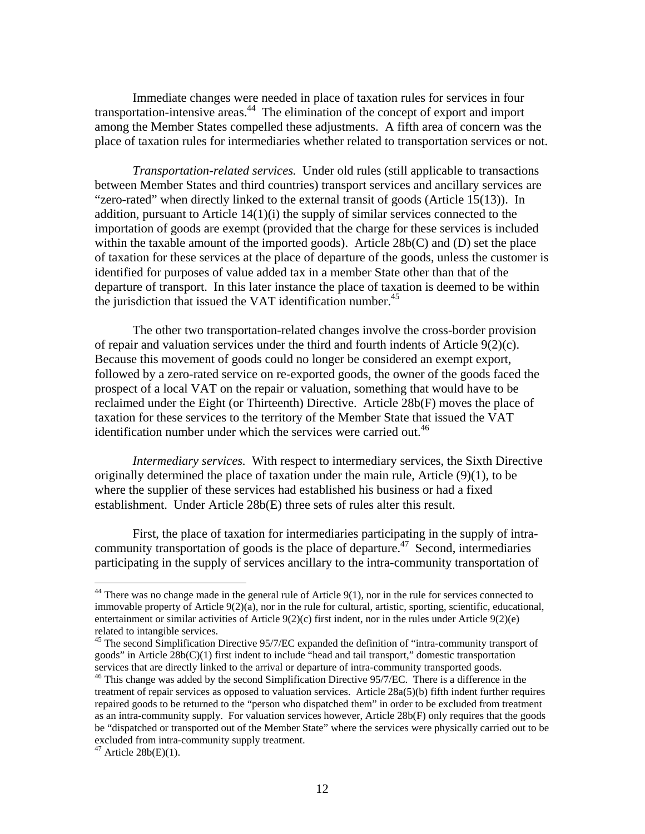Immediate changes were needed in place of taxation rules for services in four transportation-intensive areas.<sup>44</sup> The elimination of the concept of export and import among the Member States compelled these adjustments. A fifth area of concern was the place of taxation rules for intermediaries whether related to transportation services or not.

*Transportation-related services.* Under old rules (still applicable to transactions between Member States and third countries) transport services and ancillary services are "zero-rated" when directly linked to the external transit of goods (Article 15(13)). In addition, pursuant to Article 14(1)(i) the supply of similar services connected to the importation of goods are exempt (provided that the charge for these services is included within the taxable amount of the imported goods). Article 28b(C) and (D) set the place of taxation for these services at the place of departure of the goods, unless the customer is identified for purposes of value added tax in a member State other than that of the departure of transport. In this later instance the place of taxation is deemed to be within the jurisdiction that issued the VAT identification number. $45$ 

The other two transportation-related changes involve the cross-border provision of repair and valuation services under the third and fourth indents of Article 9(2)(c). Because this movement of goods could no longer be considered an exempt export, followed by a zero-rated service on re-exported goods, the owner of the goods faced the prospect of a local VAT on the repair or valuation, something that would have to be reclaimed under the Eight (or Thirteenth) Directive. Article 28b(F) moves the place of taxation for these services to the territory of the Member State that issued the VAT identification number under which the services were carried out.<sup>46</sup>

*Intermediary services.* With respect to intermediary services, the Sixth Directive originally determined the place of taxation under the main rule, Article (9)(1), to be where the supplier of these services had established his business or had a fixed establishment. Under Article 28b(E) three sets of rules alter this result.

First, the place of taxation for intermediaries participating in the supply of intracommunity transportation of goods is the place of departure.<sup>47</sup> Second, intermediaries participating in the supply of services ancillary to the intra-community transportation of

 $44$  There was no change made in the general rule of Article 9(1), nor in the rule for services connected to immovable property of Article 9(2)(a), nor in the rule for cultural, artistic, sporting, scientific, educational, entertainment or similar activities of Article 9(2)(c) first indent, nor in the rules under Article 9(2)(e) related to intangible services.

<sup>&</sup>lt;sup>45</sup> The second Simplification Directive 95/7/EC expanded the definition of "intra-community transport of goods" in Article 28b(C)(1) first indent to include "head and tail transport," domestic transportation services that are directly linked to the arrival or departure of intra-community transported goods.<br><sup>46</sup> This change was added by the second Simplification Directive 95/7/EC. There is a difference in the

treatment of repair services as opposed to valuation services. Article 28a(5)(b) fifth indent further requires repaired goods to be returned to the "person who dispatched them" in order to be excluded from treatment as an intra-community supply. For valuation services however, Article 28b(F) only requires that the goods be "dispatched or transported out of the Member State" where the services were physically carried out to be excluded from intra-community supply treatment.

 $47$  Article 28b(E)(1).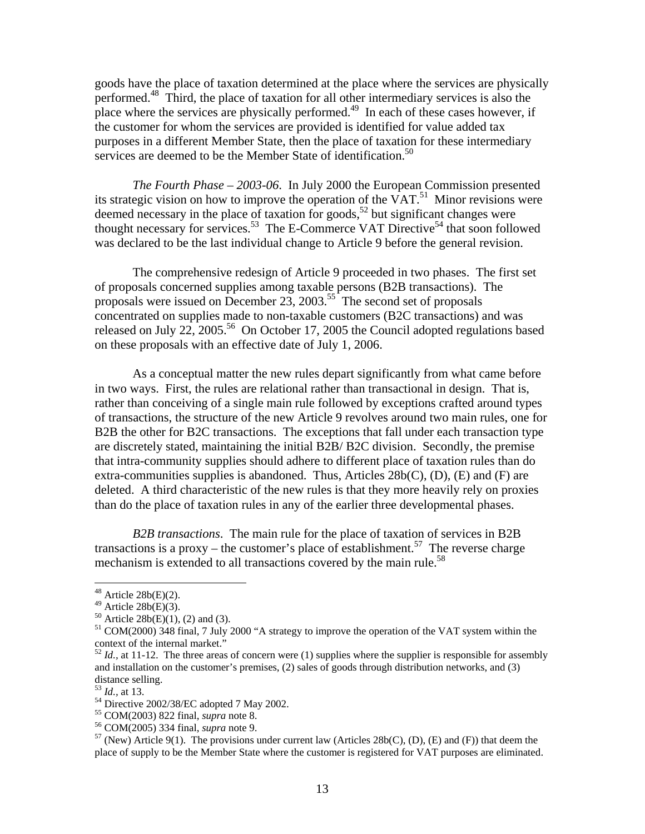goods have the place of taxation determined at the place where the services are physically performed.<sup>48</sup> Third, the place of taxation for all other intermediary services is also the place where the services are physically performed.<sup>49</sup> In each of these cases however, if the customer for whom the services are provided is identified for value added tax purposes in a different Member State, then the place of taxation for these intermediary services are deemed to be the Member State of identification.<sup>50</sup>

*The Fourth Phase – 2003-06*. In July 2000 the European Commission presented its strategic vision on how to improve the operation of the  $VAT$ <sup>51</sup>. Minor revisions were deemed necessary in the place of taxation for goods,<sup>52</sup> but significant changes were thought necessary for services.<sup>53</sup> The E-Commerce VAT Directive<sup>54</sup> that soon followed was declared to be the last individual change to Article 9 before the general revision.

The comprehensive redesign of Article 9 proceeded in two phases. The first set of proposals concerned supplies among taxable persons (B2B transactions). The proposals were issued on December  $23$ ,  $2003$ .<sup>55</sup> The second set of proposals concentrated on supplies made to non-taxable customers (B2C transactions) and was released on July 22, 2005.<sup>56</sup> On October 17, 2005 the Council adopted regulations based on these proposals with an effective date of July 1, 2006.

As a conceptual matter the new rules depart significantly from what came before in two ways. First, the rules are relational rather than transactional in design. That is, rather than conceiving of a single main rule followed by exceptions crafted around types of transactions, the structure of the new Article 9 revolves around two main rules, one for B2B the other for B2C transactions. The exceptions that fall under each transaction type are discretely stated, maintaining the initial B2B/ B2C division. Secondly, the premise that intra-community supplies should adhere to different place of taxation rules than do extra-communities supplies is abandoned. Thus, Articles  $28b(C)$ , (D), (E) and (F) are deleted. A third characteristic of the new rules is that they more heavily rely on proxies than do the place of taxation rules in any of the earlier three developmental phases.

*B2B transactions*. The main rule for the place of taxation of services in B2B transactions is a proxy – the customer's place of establishment.<sup>57</sup> The reverse charge mechanism is extended to all transactions covered by the main rule.<sup>58</sup>

1

 $48$  Article 28b(E)(2).

 $49$  Article 28b(E)(3).

 $50$  Article 28b(E)(1), (2) and (3).

<sup>51</sup> COM(2000) 348 final, 7 July 2000 "A strategy to improve the operation of the VAT system within the context of the internal market."

 $52$  *Id.*, at 11-12. The three areas of concern were (1) supplies where the supplier is responsible for assembly and installation on the customer's premises, (2) sales of goods through distribution networks, and (3) distance selling.<br> $^{53}$  *Id.*, at 13.

<sup>&</sup>lt;sup>54</sup> Directive 2002/38/EC adopted 7 May 2002.<br><sup>55</sup> COM(2003) 822 final, *supra* note 8.

<sup>&</sup>lt;sup>56</sup> COM(2005) 334 final, *supra* note 9.<br><sup>57</sup> (New) Article 9(1). The provisions under current law (Articles 28b(C), (D), (E) and (F)) that deem the place of supply to be the Member State where the customer is registered for VAT purposes are eliminated.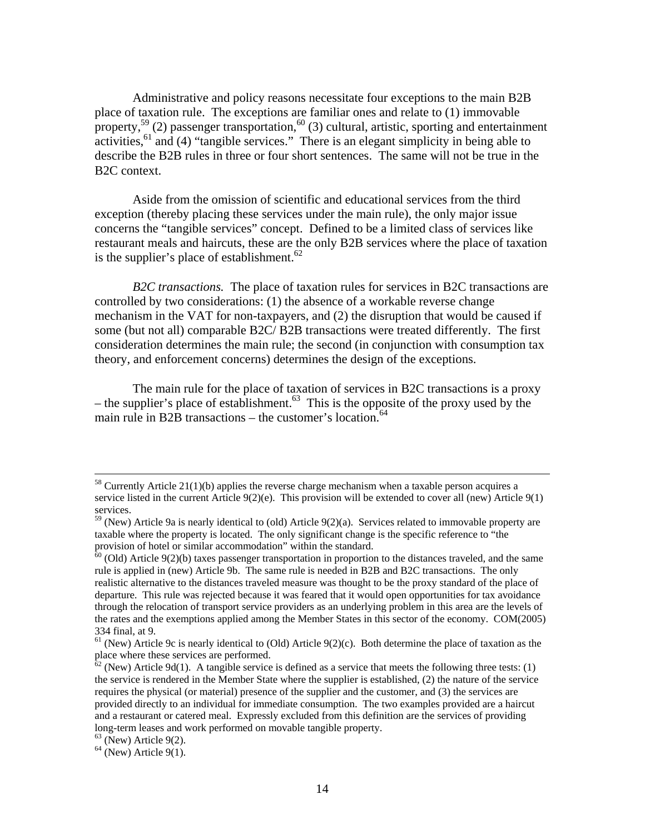Administrative and policy reasons necessitate four exceptions to the main B2B place of taxation rule. The exceptions are familiar ones and relate to (1) immovable property,<sup>59</sup> (2) passenger transportation,<sup>60</sup> (3) cultural, artistic, sporting and entertainment activities,  $61$  and (4) "tangible services." There is an elegant simplicity in being able to describe the B2B rules in three or four short sentences. The same will not be true in the B2C context.

Aside from the omission of scientific and educational services from the third exception (thereby placing these services under the main rule), the only major issue concerns the "tangible services" concept. Defined to be a limited class of services like restaurant meals and haircuts, these are the only B2B services where the place of taxation is the supplier's place of establishment. $62$ 

*B2C transactions.* The place of taxation rules for services in B2C transactions are controlled by two considerations: (1) the absence of a workable reverse change mechanism in the VAT for non-taxpayers, and (2) the disruption that would be caused if some (but not all) comparable B2C/ B2B transactions were treated differently. The first consideration determines the main rule; the second (in conjunction with consumption tax theory, and enforcement concerns) determines the design of the exceptions.

The main rule for the place of taxation of services in B2C transactions is a proxy – the supplier's place of establishment.<sup>63</sup> This is the opposite of the proxy used by the main rule in B2B transactions – the customer's location.<sup>64</sup>

 $58$  Currently Article 21(1)(b) applies the reverse charge mechanism when a taxable person acquires a service listed in the current Article  $9(2)(e)$ . This provision will be extended to cover all (new) Article  $9(1)$ services.

 $59$  (New) Article 9a is nearly identical to (old) Article 9(2)(a). Services related to immovable property are taxable where the property is located. The only significant change is the specific reference to "the

 $\frac{60}{10}$  (Old) Article 9(2)(b) taxes passenger transportation in proportion to the distances traveled, and the same rule is applied in (new) Article 9b. The same rule is needed in B2B and B2C transactions. The only realistic alternative to the distances traveled measure was thought to be the proxy standard of the place of departure. This rule was rejected because it was feared that it would open opportunities for tax avoidance through the relocation of transport service providers as an underlying problem in this area are the levels of the rates and the exemptions applied among the Member States in this sector of the economy. COM(2005) 334 final, at 9.

 $61$  (New) Article 9c is nearly identical to (Old) Article 9(2)(c). Both determine the place of taxation as the place where these services are performed.

 $\frac{62}{2}$  (New) Article 9d(1). A tangible service is defined as a service that meets the following three tests: (1) the service is rendered in the Member State where the supplier is established, (2) the nature of the service requires the physical (or material) presence of the supplier and the customer, and (3) the services are provided directly to an individual for immediate consumption. The two examples provided are a haircut and a restaurant or catered meal. Expressly excluded from this definition are the services of providing long-term leases and work performed on movable tangible property.

 $63$  (New) Article 9(2).

 $64$  (New) Article 9(1).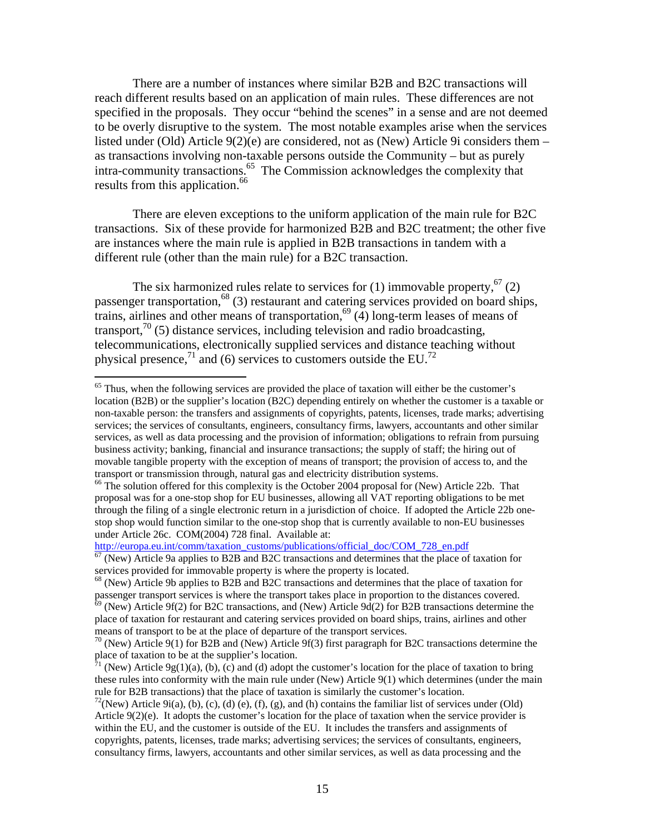There are a number of instances where similar B2B and B2C transactions will reach different results based on an application of main rules. These differences are not specified in the proposals. They occur "behind the scenes" in a sense and are not deemed to be overly disruptive to the system. The most notable examples arise when the services listed under (Old) Article  $9(2)(e)$  are considered, not as (New) Article 9i considers them – as transactions involving non-taxable persons outside the Community – but as purely intra-community transactions.65 The Commission acknowledges the complexity that results from this application.<sup>66</sup>

There are eleven exceptions to the uniform application of the main rule for B2C transactions. Six of these provide for harmonized B2B and B2C treatment; the other five are instances where the main rule is applied in B2B transactions in tandem with a different rule (other than the main rule) for a B2C transaction.

The six harmonized rules relate to services for (1) immovable property.<sup>67</sup> (2) passenger transportation,  $^{68}$  (3) restaurant and catering services provided on board ships, trains, airlines and other means of transportation,<sup>69</sup> (4) long-term leases of means of transport,<sup>70</sup> (5) distance services, including television and radio broadcasting, telecommunications, electronically supplied services and distance teaching without physical presence,<sup>71</sup> and (6) services to customers outside the EU.<sup>72</sup>

<sup>&</sup>lt;sup>65</sup> Thus, when the following services are provided the place of taxation will either be the customer's location (B2B) or the supplier's location (B2C) depending entirely on whether the customer is a taxable or non-taxable person: the transfers and assignments of copyrights, patents, licenses, trade marks; advertising services; the services of consultants, engineers, consultancy firms, lawyers, accountants and other similar services, as well as data processing and the provision of information; obligations to refrain from pursuing business activity; banking, financial and insurance transactions; the supply of staff; the hiring out of movable tangible property with the exception of means of transport; the provision of access to, and the transport or transmission through, natural gas and electricity distribution systems.

<sup>&</sup>lt;sup>66</sup> The solution offered for this complexity is the October 2004 proposal for (New) Article 22b. That proposal was for a one-stop shop for EU businesses, allowing all VAT reporting obligations to be met through the filing of a single electronic return in a jurisdiction of choice. If adopted the Article 22b onestop shop would function similar to the one-stop shop that is currently available to non-EU businesses under Article 26c. COM(2004) 728 final. Available at:

http://europa.eu.int/comm/taxation\_customs/publications/official\_doc/COM\_728\_en.pdf <sup>67</sup> (New) Article 9a applies to B2B and B2C transactions and determines that the place of taxation for services provided for immovable property is where the property is located.<br><sup>68</sup> (New) Article 9b applies to B2B and B2C transactions and determines that the place of taxation for

passenger transport services is where the transport takes place in proportion to the distances covered.<br><sup>69</sup> (New) Article 9f(2) for B2C transactions, and (New) Article 9d(2) for B2B transactions determine the

place of taxation for restaurant and catering services provided on board ships, trains, airlines and other

means of transport to be at the place of departure of the transport services.<br><sup>70</sup> (New) Article 9(1) for B2B and (New) Article 9f(3) first paragraph for B2C transactions determine the place of taxation to be at the suppl

 $\hat{p}$ <sup>1</sup> (New) Article 9g(1)(a), (b), (c) and (d) adopt the customer's location for the place of taxation to bring these rules into conformity with the main rule under (New) Article 9(1) which determines (under the main rule for B2B transactions) that the place of taxation is similarly the customer's location.

 $^{72}$ (New) Article 9i(a), (b), (c), (d) (e), (f), (g), and (h) contains the familiar list of services under (Old) Article 9(2)(e). It adopts the customer's location for the place of taxation when the service provider is within the EU, and the customer is outside of the EU. It includes the transfers and assignments of copyrights, patents, licenses, trade marks; advertising services; the services of consultants, engineers, consultancy firms, lawyers, accountants and other similar services, as well as data processing and the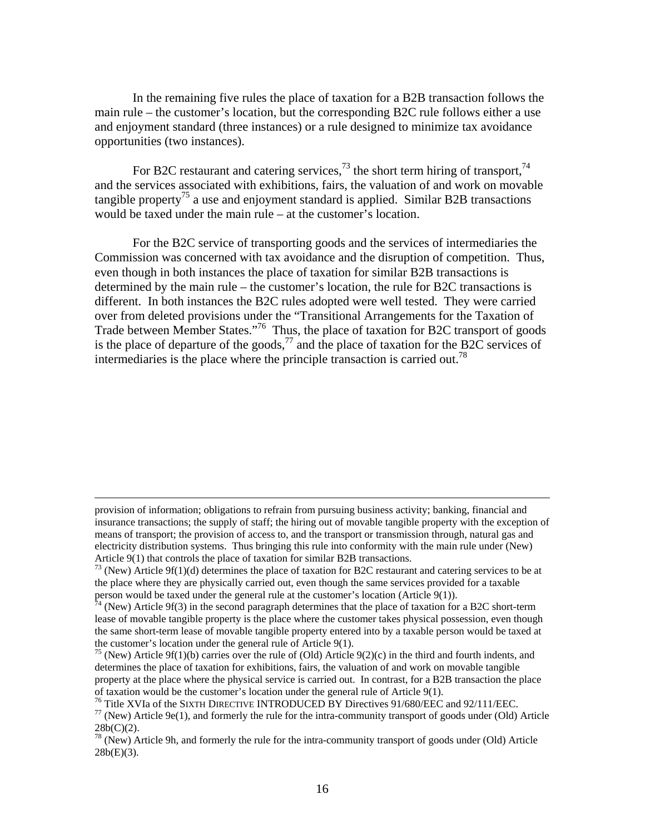In the remaining five rules the place of taxation for a B2B transaction follows the main rule – the customer's location, but the corresponding B2C rule follows either a use and enjoyment standard (three instances) or a rule designed to minimize tax avoidance opportunities (two instances).

For B2C restaurant and catering services,<sup>73</sup> the short term hiring of transport,<sup>74</sup> and the services associated with exhibitions, fairs, the valuation of and work on movable tangible property<sup>75</sup> a use and enjoyment standard is applied. Similar B2B transactions would be taxed under the main rule – at the customer's location.

For the B2C service of transporting goods and the services of intermediaries the Commission was concerned with tax avoidance and the disruption of competition. Thus, even though in both instances the place of taxation for similar B2B transactions is determined by the main rule – the customer's location, the rule for B2C transactions is different. In both instances the B2C rules adopted were well tested. They were carried over from deleted provisions under the "Transitional Arrangements for the Taxation of Trade between Member States."<sup>76</sup> Thus, the place of taxation for B2C transport of goods is the place of departure of the goods,<sup>77</sup> and the place of taxation for the B2C services of intermediaries is the place where the principle transaction is carried out.<sup>78</sup>

provision of information; obligations to refrain from pursuing business activity; banking, financial and insurance transactions; the supply of staff; the hiring out of movable tangible property with the exception of means of transport; the provision of access to, and the transport or transmission through, natural gas and electricity distribution systems. Thus bringing this rule into conformity with the main rule under (New)

Article 9(1) that controls the place of taxation for similar B2B transactions.<br><sup>73</sup> (New) Article 9f(1)(d) determines the place of taxation for B2C restaurant and catering services to be at the place where they are physically carried out, even though the same services provided for a taxable person would be taxed under the general rule at the customer's location (Article 9(1)).

 $\frac{74}{1}$  (New) Article 9f(3) in the second paragraph determines that the place of taxation for a B2C short-term lease of movable tangible property is the place where the customer takes physical possession, even though the same short-term lease of movable tangible property entered into by a taxable person would be taxed at the customer's location under the general rule of Article 9(1).

<sup>&</sup>lt;sup>75</sup> (New) Article 9f(1)(b) carries over the rule of (Old) Article 9(2)(c) in the third and fourth indents, and determines the place of taxation for exhibitions, fairs, the valuation of and work on movable tangible property at the place where the physical service is carried out. In contrast, for a B2B transaction the place of taxation would be the customer's location under the general rule of Article 9(1).

<sup>&</sup>lt;sup>76</sup> Title XVIa of the SIXTH DIRECTIVE INTRODUCED BY Directives 91/680/EEC and 92/111/EEC.<br><sup>77</sup> (New) Article 9e(1), and formerly the rule for the intra-community transport of goods under (Old) Article

 $28b(C)(2)$ .

 $78$  (New) Article 9h, and formerly the rule for the intra-community transport of goods under (Old) Article  $28b(E)(3)$ .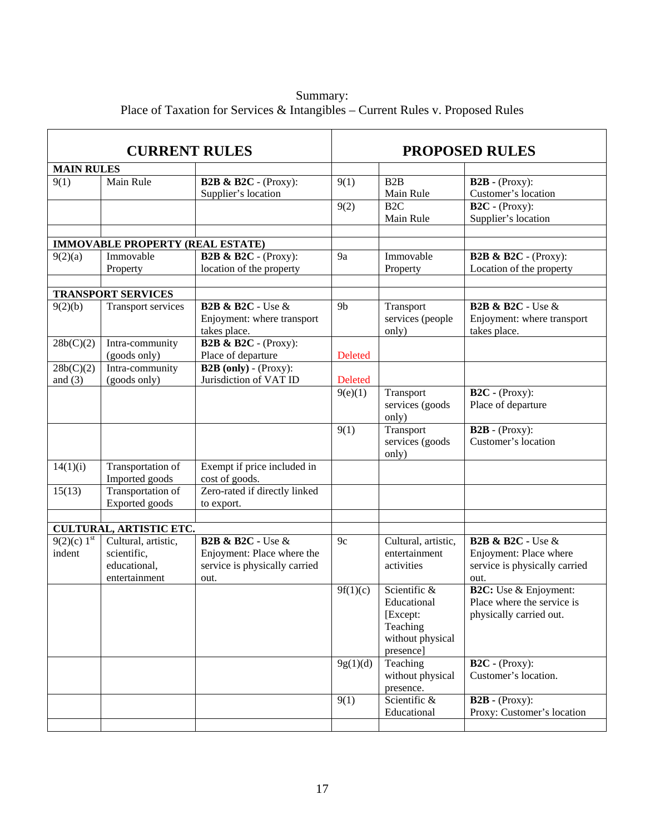Summary: Place of Taxation for Services & Intangibles – Current Rules v. Proposed Rules

| <b>CURRENT RULES</b>       |                                                                     |                                                                                                         | <b>PROPOSED RULES</b> |                                                                                      |                                                                                                     |
|----------------------------|---------------------------------------------------------------------|---------------------------------------------------------------------------------------------------------|-----------------------|--------------------------------------------------------------------------------------|-----------------------------------------------------------------------------------------------------|
| <b>MAIN RULES</b>          |                                                                     |                                                                                                         |                       |                                                                                      |                                                                                                     |
| 9(1)                       | Main Rule                                                           | <b>B2B &amp; B2C</b> - (Proxy):<br>Supplier's location                                                  | 9(1)                  | B2B<br>Main Rule                                                                     | $B2B - (Proxy)$ :<br>Customer's location                                                            |
|                            |                                                                     |                                                                                                         | 9(2)                  | B <sub>2C</sub><br>Main Rule                                                         | $B2C - (Proxy)$ :<br>Supplier's location                                                            |
|                            |                                                                     |                                                                                                         |                       |                                                                                      |                                                                                                     |
|                            | <b>IMMOVABLE PROPERTY (REAL ESTATE)</b>                             |                                                                                                         |                       |                                                                                      |                                                                                                     |
| 9(2)(a)                    | Immovable<br>Property                                               | <b>B2B &amp; B2C</b> - (Proxy):<br>location of the property                                             | 9a                    | Immovable<br>Property                                                                | <b>B2B &amp; B2C</b> - (Proxy):<br>Location of the property                                         |
|                            |                                                                     |                                                                                                         |                       |                                                                                      |                                                                                                     |
|                            | <b>TRANSPORT SERVICES</b>                                           |                                                                                                         |                       |                                                                                      |                                                                                                     |
| 9(2)(b)                    | Transport services                                                  | <b>B2B &amp; B2C</b> - Use &<br>Enjoyment: where transport<br>takes place.                              | 9 <sub>b</sub>        | Transport<br>services (people<br>only)                                               | <b>B2B &amp; B2C</b> - Use &<br>Enjoyment: where transport<br>takes place.                          |
| 28b(C)(2)                  | Intra-community<br>(goods only)                                     | <b>B2B &amp; B2C</b> - (Proxy):<br>Place of departure                                                   | <b>Deleted</b>        |                                                                                      |                                                                                                     |
| 28b(C)(2)<br>and $(3)$     | Intra-community<br>(goods only)                                     | $\overline{\text{B2B (only)} - (\text{Proxy})}$ :<br>Jurisdiction of VAT ID                             | Deleted               |                                                                                      |                                                                                                     |
|                            |                                                                     |                                                                                                         | 9(e)(1)               | Transport<br>services (goods<br>only)                                                | $B2C - (Proxy):$<br>Place of departure                                                              |
|                            |                                                                     |                                                                                                         | 9(1)                  | Transport<br>services (goods<br>only)                                                | $B2B - (Proxy)$ :<br>Customer's location                                                            |
| 14(1)(i)                   | Transportation of<br>Imported goods                                 | Exempt if price included in<br>cost of goods.                                                           |                       |                                                                                      |                                                                                                     |
| 15(13)                     | Transportation of<br>Exported goods                                 | Zero-rated if directly linked<br>to export.                                                             |                       |                                                                                      |                                                                                                     |
|                            |                                                                     |                                                                                                         |                       |                                                                                      |                                                                                                     |
|                            | <b>CULTURAL, ARTISTIC ETC.</b>                                      |                                                                                                         |                       |                                                                                      |                                                                                                     |
| $9(2)(c) 1^{st}$<br>indent | Cultural, artistic,<br>scientific,<br>educational,<br>entertainment | <b>B2B &amp; B2C - Use &amp;</b><br>Enjoyment: Place where the<br>service is physically carried<br>out. | 9c                    | Cultural, artistic,<br>entertainment<br>activities                                   | <b>B2B &amp; B2C - Use &amp;</b><br>Enjoyment: Place where<br>service is physically carried<br>out. |
|                            |                                                                     |                                                                                                         | 9f(1)(c)              | Scientific &<br>Educational<br>[Except:<br>Teaching<br>without physical<br>presence] | <b>B2C:</b> Use & Enjoyment:<br>Place where the service is<br>physically carried out.               |
|                            |                                                                     |                                                                                                         | 9g(1)(d)              | Teaching<br>without physical<br>presence.                                            | $B2C - (Proxy)$ :<br>Customer's location.                                                           |
|                            |                                                                     |                                                                                                         | 9(1)                  | Scientific &<br>Educational                                                          | $B2B - (Proxy)$ :<br>Proxy: Customer's location                                                     |
|                            |                                                                     |                                                                                                         |                       |                                                                                      |                                                                                                     |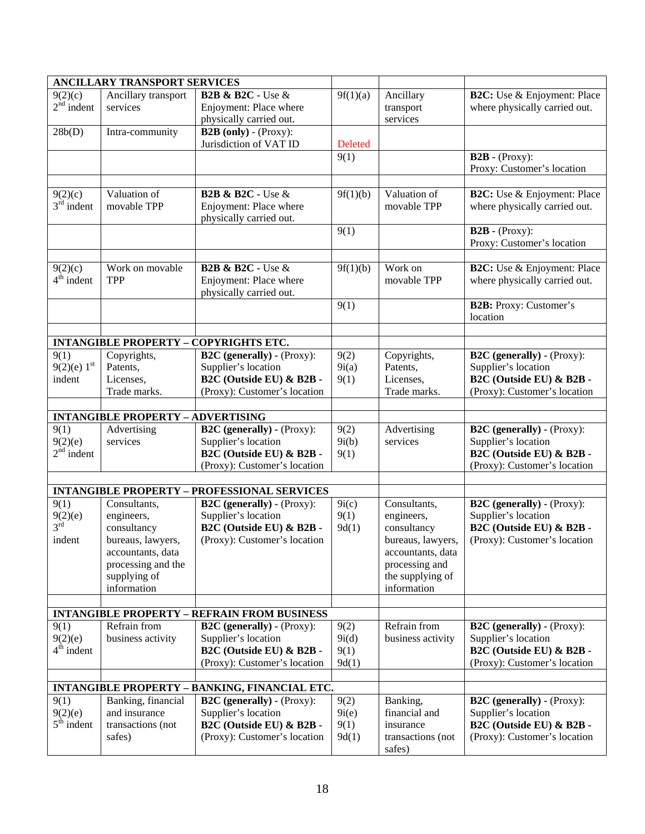| <b>ANCILLARY TRANSPORT SERVICES</b>                  |                                          |                                                    |                    |                   |                                    |
|------------------------------------------------------|------------------------------------------|----------------------------------------------------|--------------------|-------------------|------------------------------------|
| 9(2)(c)                                              | Ancillary transport                      | <b>B2B &amp; B2C - Use &amp;</b>                   | 9f(1)(a)           | Ancillary         | <b>B2C:</b> Use & Enjoyment: Place |
| $2nd$ indent                                         | services                                 | Enjoyment: Place where                             |                    | transport         | where physically carried out.      |
|                                                      |                                          | physically carried out.                            |                    | services          |                                    |
| 28b(D)                                               | Intra-community                          | $B2B$ (only) - (Proxy):                            |                    |                   |                                    |
|                                                      |                                          | Jurisdiction of VAT ID                             | Deleted            |                   |                                    |
|                                                      |                                          |                                                    | 9(1)               |                   | $B2B - (Proxy)$ :                  |
|                                                      |                                          |                                                    |                    |                   |                                    |
|                                                      |                                          |                                                    |                    |                   | Proxy: Customer's location         |
| 9(2)(c)                                              | Valuation of                             | <b>B2B &amp; B2C - Use &amp;</b>                   | 9f(1)(b)           | Valuation of      | <b>B2C:</b> Use & Enjoyment: Place |
| $3rd$ indent                                         | movable TPP                              |                                                    |                    | movable TPP       | where physically carried out.      |
|                                                      |                                          | Enjoyment: Place where                             |                    |                   |                                    |
|                                                      |                                          | physically carried out.                            |                    |                   |                                    |
|                                                      |                                          |                                                    | 9(1)               |                   | $B2B - (Proxy):$                   |
|                                                      |                                          |                                                    |                    |                   | Proxy: Customer's location         |
|                                                      | Work on movable                          | <b>B2B &amp; B2C - Use &amp;</b>                   |                    | Work on           |                                    |
| 9(2)(c)                                              |                                          |                                                    | 9f(1)(b)           |                   | <b>B2C:</b> Use & Enjoyment: Place |
| $4th$ indent                                         | TPP                                      | Enjoyment: Place where                             |                    | movable TPP       | where physically carried out.      |
|                                                      |                                          | physically carried out.                            |                    |                   |                                    |
|                                                      |                                          |                                                    | 9(1)               |                   | <b>B2B:</b> Proxy: Customer's      |
|                                                      |                                          |                                                    |                    |                   | location                           |
|                                                      |                                          |                                                    |                    |                   |                                    |
|                                                      |                                          | <b>INTANGIBLE PROPERTY - COPYRIGHTS ETC.</b>       |                    |                   |                                    |
| 9(1)                                                 | Copyrights,                              | <b>B2C</b> (generally) - (Proxy):                  | 9(2)               | Copyrights,       | <b>B2C</b> (generally) - (Proxy):  |
| $9(2)(e) 1^{st}$                                     | Patents,                                 | Supplier's location                                | 9i(a)              | Patents,          | Supplier's location                |
| indent                                               | Licenses,                                | B2C (Outside EU) & B2B -                           | 9(1)               | Licenses,         | B2C (Outside EU) & B2B -           |
|                                                      | Trade marks.                             | (Proxy): Customer's location                       |                    | Trade marks.      | (Proxy): Customer's location       |
|                                                      |                                          |                                                    |                    |                   |                                    |
|                                                      | <b>INTANGIBLE PROPERTY - ADVERTISING</b> |                                                    |                    |                   |                                    |
| 9(1)                                                 | Advertising                              | <b>B2C</b> (generally) - (Proxy):                  | 9(2)               | Advertising       | <b>B2C</b> (generally) - (Proxy):  |
| 9(2)(e)                                              | services                                 | Supplier's location                                | 9i(b)              | services          | Supplier's location                |
| $2nd$ indent                                         |                                          | B2C (Outside EU) & B2B -                           | 9(1)               |                   | B2C (Outside EU) & B2B -           |
|                                                      |                                          | (Proxy): Customer's location                       |                    |                   | (Proxy): Customer's location       |
|                                                      |                                          |                                                    |                    |                   |                                    |
|                                                      |                                          | <b>INTANGIBLE PROPERTY - PROFESSIONAL SERVICES</b> |                    |                   |                                    |
| 9(1)                                                 | Consultants,                             | <b>B2C</b> (generally) - (Proxy):                  | $\overline{9}i(c)$ | Consultants,      | <b>B2C</b> (generally) - (Proxy):  |
| 9(2)(e)                                              | engineers,                               | Supplier's location                                | 9(1)               | engineers,        | Supplier's location                |
| $3^{\dot{r}\dot{d}}$                                 | consultancy                              | B2C (Outside EU) & B2B -                           | 9d(1)              | consultancy       | B2C (Outside EU) & B2B -           |
| indent                                               | bureaus, lawyers,                        | (Proxy): Customer's location                       |                    | bureaus, lawyers, | (Proxy): Customer's location       |
|                                                      | accountants, data                        |                                                    |                    | accountants, data |                                    |
|                                                      | processing and the                       |                                                    |                    | processing and    |                                    |
|                                                      | supplying of                             |                                                    |                    | the supplying of  |                                    |
|                                                      | information                              |                                                    |                    | information       |                                    |
|                                                      |                                          |                                                    |                    |                   |                                    |
| <b>INTANGIBLE PROPERTY - REFRAIN FROM BUSINESS</b>   |                                          |                                                    |                    |                   |                                    |
| 9(1)                                                 | Refrain from                             | <b>B2C</b> (generally) - (Proxy):                  | 9(2)               | Refrain from      | <b>B2C</b> (generally) - (Proxy):  |
| 9(2)(e)                                              | business activity                        | Supplier's location                                | 9i(d)              | business activity | Supplier's location                |
| $4th$ indent                                         |                                          | B2C (Outside EU) & B2B -                           | 9(1)               |                   | B2C (Outside EU) & B2B -           |
|                                                      |                                          | (Proxy): Customer's location                       | 9d(1)              |                   | (Proxy): Customer's location       |
|                                                      |                                          |                                                    |                    |                   |                                    |
| <b>INTANGIBLE PROPERTY - BANKING, FINANCIAL ETC.</b> |                                          |                                                    |                    |                   |                                    |
| 9(1)                                                 | Banking, financial                       | <b>B2C</b> (generally) - (Proxy):                  | 9(2)               | Banking,          | <b>B2C</b> (generally) - (Proxy):  |
| 9(2)(e)                                              | and insurance                            | Supplier's location                                | 9i(e)              | financial and     | Supplier's location                |
| $5th$ indent                                         | transactions (not                        | B2C (Outside EU) & B2B -                           | 9(1)               | insurance         | B2C (Outside EU) & B2B -           |
|                                                      | safes)                                   | (Proxy): Customer's location                       | 9d(1)              | transactions (not | (Proxy): Customer's location       |
|                                                      |                                          |                                                    |                    | safes)            |                                    |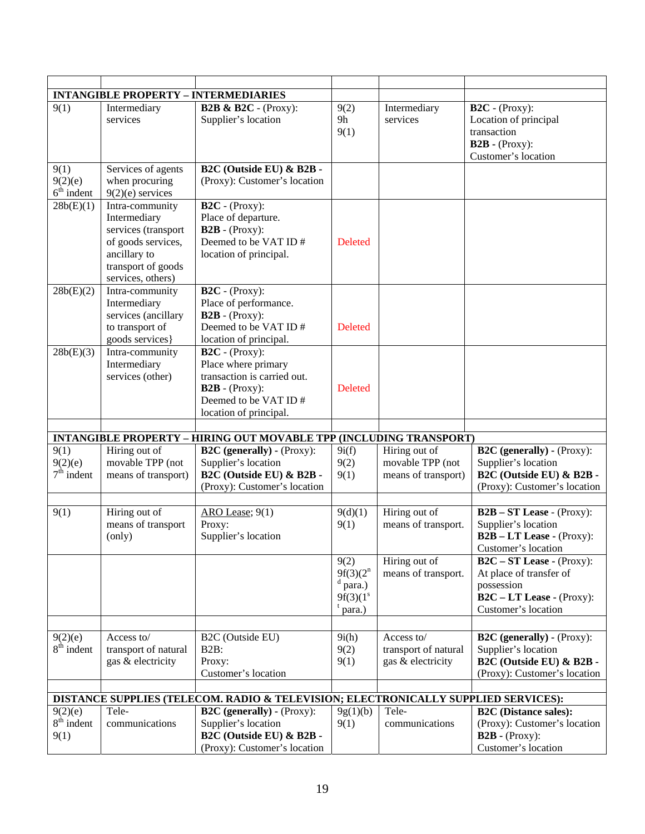|                                                                                    |                                                                                                                                         | <b>INTANGIBLE PROPERTY - INTERMEDIARIES</b>                                                                                                           |                                                                  |                                                          |                                                                                                                            |
|------------------------------------------------------------------------------------|-----------------------------------------------------------------------------------------------------------------------------------------|-------------------------------------------------------------------------------------------------------------------------------------------------------|------------------------------------------------------------------|----------------------------------------------------------|----------------------------------------------------------------------------------------------------------------------------|
| 9(1)                                                                               | Intermediary<br>services                                                                                                                | <b>B2B &amp; B2C</b> - (Proxy):<br>Supplier's location                                                                                                | 9(2)<br>9h<br>9(1)                                               | Intermediary<br>services                                 | $B2C - (Proxy):$<br>Location of principal<br>transaction<br>$B2B - (Proxy)$ :<br>Customer's location                       |
| 9(1)<br>9(2)(e)<br>$6th$ indent                                                    | Services of agents<br>when procuring<br>$9(2)(e)$ services                                                                              | B2C (Outside EU) & B2B -<br>(Proxy): Customer's location                                                                                              |                                                                  |                                                          |                                                                                                                            |
| 28b(E)(1)                                                                          | Intra-community<br>Intermediary<br>services (transport<br>of goods services,<br>ancillary to<br>transport of goods<br>services, others) | $B2C - (Proxy):$<br>Place of departure.<br>$B2B - (Proxy):$<br>Deemed to be VAT ID#<br>location of principal.                                         | Deleted                                                          |                                                          |                                                                                                                            |
| 28b(E)(2)                                                                          | Intra-community<br>Intermediary<br>services (ancillary<br>to transport of<br>goods services}                                            | $B2C - (Proxy):$<br>Place of performance.<br>$B2B - (Proxy):$<br>Deemed to be VAT ID#<br>location of principal.                                       | Deleted                                                          |                                                          |                                                                                                                            |
| 28b(E)(3)                                                                          | Intra-community<br>Intermediary<br>services (other)                                                                                     | $\mathbf{B2C}$ - (Proxy):<br>Place where primary<br>transaction is carried out.<br>$B2B - (Proxy):$<br>Deemed to be VAT ID#<br>location of principal. | <b>Deleted</b>                                                   |                                                          |                                                                                                                            |
|                                                                                    |                                                                                                                                         |                                                                                                                                                       |                                                                  |                                                          |                                                                                                                            |
|                                                                                    |                                                                                                                                         | <b>INTANGIBLE PROPERTY - HIRING OUT MOVABLE TPP (INCLUDING TRANSPORT)</b>                                                                             |                                                                  |                                                          |                                                                                                                            |
| 9(1)<br>9(2)(e)<br>$7th$ indent                                                    | Hiring out of<br>movable TPP (not<br>means of transport)                                                                                | <b>B2C</b> (generally) - (Proxy):<br>Supplier's location<br>B2C (Outside EU) & B2B -<br>(Proxy): Customer's location                                  | 9i(f)<br>9(2)<br>9(1)                                            | Hiring out of<br>movable TPP (not<br>means of transport) | <b>B2C</b> (generally) - (Proxy):<br>Supplier's location<br>B2C (Outside EU) & B2B -<br>(Proxy): Customer's location       |
| 9(1)                                                                               | Hiring out of<br>means of transport<br>(only)                                                                                           | ARO Lease; 9(1)<br>Proxy:<br>Supplier's location                                                                                                      | 9(d)(1)<br>9(1)                                                  | Hiring out of<br>means of transport.                     | $B2B - ST$ Lease - (Proxy):<br>Supplier's location<br>$B2B - LT$ Lease - (Proxy):<br>Customer's location                   |
|                                                                                    |                                                                                                                                         |                                                                                                                                                       | 9(2)<br>$9f(3)(2^n)$<br>$d$ para.)<br>$9f(3)(1^s)$<br>$t$ para.) | Hiring out of<br>means of transport.                     | $B2C - ST$ Lease - (Proxy):<br>At place of transfer of<br>possession<br>$B2C - LT$ Lease - (Proxy):<br>Customer's location |
|                                                                                    |                                                                                                                                         |                                                                                                                                                       |                                                                  |                                                          |                                                                                                                            |
| 9(2)(e)<br>$8th$ indent                                                            | Access to/<br>transport of natural<br>gas & electricity                                                                                 | B2C (Outside EU)<br><b>B2B:</b><br>Proxy:<br>Customer's location                                                                                      | 9i(h)<br>9(2)<br>9(1)                                            | Access to/<br>transport of natural<br>gas & electricity  | <b>B2C</b> (generally) - (Proxy):<br>Supplier's location<br>B2C (Outside EU) & B2B -<br>(Proxy): Customer's location       |
| DISTANCE SUPPLIES (TELECOM. RADIO & TELEVISION; ELECTRONICALLY SUPPLIED SERVICES): |                                                                                                                                         |                                                                                                                                                       |                                                                  |                                                          |                                                                                                                            |
| 9(2)(e)                                                                            | Tele-                                                                                                                                   | <b>B2C</b> (generally) - (Proxy):                                                                                                                     | 9g(1)(b)                                                         | Tele-                                                    | <b>B2C</b> (Distance sales):                                                                                               |
| $8th$ indent<br>9(1)                                                               | communications                                                                                                                          | Supplier's location<br>B2C (Outside EU) & B2B -<br>(Proxy): Customer's location                                                                       | 9(1)                                                             | communications                                           | (Proxy): Customer's location<br>$B2B - (Proxy)$ :<br>Customer's location                                                   |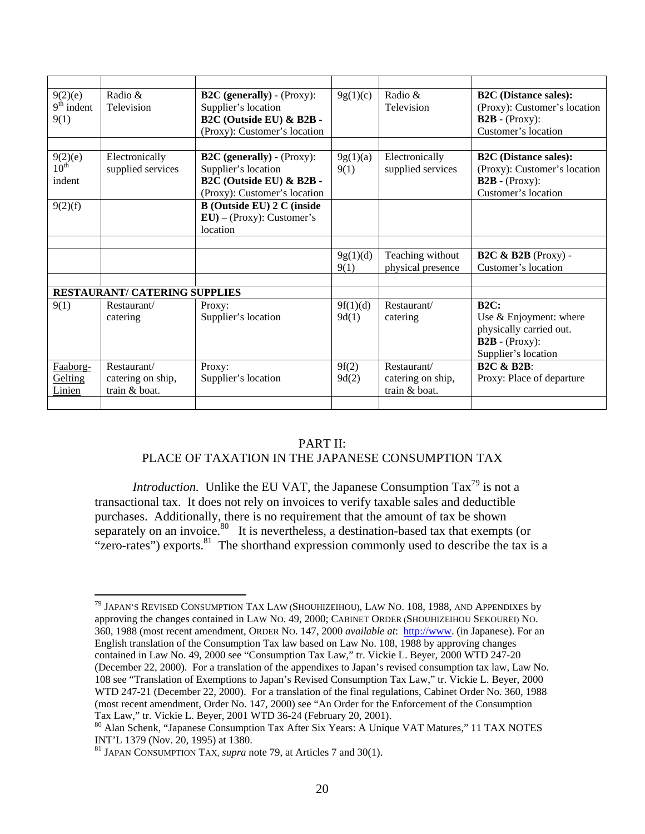| 9(2)(e)<br>$9th$ indent<br>9(1)       | Radio &<br>Television                             | $B2C$ (generally) - (Proxy):<br>Supplier's location<br>B2C (Outside EU) & B2B -<br>(Proxy): Customer's location | 9g(1)(c)          | Radio &<br>Television                             | <b>B2C</b> (Distance sales):<br>(Proxy): Customer's location<br>$B2B - (Proxy)$ :<br>Customer's location     |
|---------------------------------------|---------------------------------------------------|-----------------------------------------------------------------------------------------------------------------|-------------------|---------------------------------------------------|--------------------------------------------------------------------------------------------------------------|
|                                       |                                                   |                                                                                                                 |                   |                                                   |                                                                                                              |
| 9(2)(e)<br>$10^{\text{th}}$<br>indent | Electronically<br>supplied services               | $B2C$ (generally) - (Proxy):<br>Supplier's location<br>B2C (Outside EU) & B2B -<br>(Proxy): Customer's location | 9g(1)(a)<br>9(1)  | Electronically<br>supplied services               | <b>B2C</b> (Distance sales):<br>(Proxy): Customer's location<br>$B2B - (Proxy)$ :<br>Customer's location     |
| 9(2)(f)                               |                                                   | <b>B</b> (Outside EU) 2 C (inside<br>$EU$ – (Proxy): Customer's<br>location                                     |                   |                                                   |                                                                                                              |
|                                       |                                                   |                                                                                                                 |                   |                                                   |                                                                                                              |
|                                       |                                                   |                                                                                                                 | 9g(1)(d)<br>9(1)  | Teaching without<br>physical presence             | $B2C \& B2B$ (Proxy) -<br>Customer's location                                                                |
|                                       |                                                   |                                                                                                                 |                   |                                                   |                                                                                                              |
| <b>RESTAURANT/ CATERING SUPPLIES</b>  |                                                   |                                                                                                                 |                   |                                                   |                                                                                                              |
| 9(1)                                  | Restaurant/<br>catering                           | Proxy:<br>Supplier's location                                                                                   | 9f(1)(d)<br>9d(1) | Restaurant/<br>catering                           | <b>B2C:</b><br>Use & Enjoyment: where<br>physically carried out.<br>$B2B - (Proxy)$ :<br>Supplier's location |
| Faaborg-<br>Gelting<br>Linien         | Restaurant/<br>catering on ship,<br>train & boat. | Proxy:<br>Supplier's location                                                                                   | 9f(2)<br>9d(2)    | Restaurant/<br>catering on ship,<br>train & boat. | <b>B2C &amp; B2B:</b><br>Proxy: Place of departure                                                           |
|                                       |                                                   |                                                                                                                 |                   |                                                   |                                                                                                              |

#### PART II:

#### PLACE OF TAXATION IN THE JAPANESE CONSUMPTION TAX

*Introduction.* Unlike the EU VAT, the Japanese Consumption Tax<sup>79</sup> is not a transactional tax. It does not rely on invoices to verify taxable sales and deductible purchases. Additionally, there is no requirement that the amount of tax be shown separately on an invoice.<sup>80</sup> It is nevertheless, a destination-based tax that exempts (or "zero-rates") exports. $81$  The shorthand expression commonly used to describe the tax is a

 $^{79}$  Japan's Revised Consumption Tax Law (Shouhizeihou), Law No. 108, 1988, and Appendixes by approving the changes contained in LAW NO. 49, 2000; CABINET ORDER (SHOUHIZEIHOU SEKOUREI) NO. 360, 1988 (most recent amendment, ORDER NO. 147, 2000 *available at*: http://www. (in Japanese). For an English translation of the Consumption Tax law based on Law No. 108, 1988 by approving changes contained in Law No. 49, 2000 see "Consumption Tax Law," tr. Vickie L. Beyer, 2000 WTD 247-20 (December 22, 2000). For a translation of the appendixes to Japan's revised consumption tax law, Law No. 108 see "Translation of Exemptions to Japan's Revised Consumption Tax Law," tr. Vickie L. Beyer, 2000 WTD 247-21 (December 22, 2000). For a translation of the final regulations, Cabinet Order No. 360, 1988 (most recent amendment, Order No. 147, 2000) see "An Order for the Enforcement of the Consumption Tax Law," tr. Vickie L. Beyer, 2001 WTD 36-24 (February 20, 2001).

<sup>80</sup> Alan Schenk, "Japanese Consumption Tax After Six Years: A Unique VAT Matures," 11 TAX NOTES INT'L 1379 (Nov. 20, 1995) at 1380.

<sup>81</sup> JAPAN CONSUMPTION TAX, *supra* note 79, at Articles 7 and 30(1).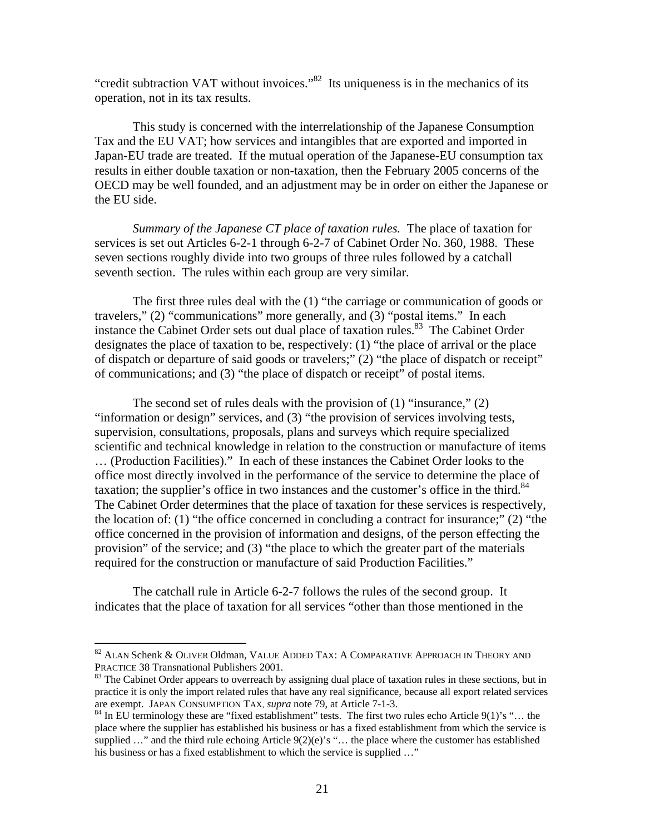"credit subtraction VAT without invoices." $82$  Its uniqueness is in the mechanics of its operation, not in its tax results.

 This study is concerned with the interrelationship of the Japanese Consumption Tax and the EU VAT; how services and intangibles that are exported and imported in Japan-EU trade are treated. If the mutual operation of the Japanese-EU consumption tax results in either double taxation or non-taxation, then the February 2005 concerns of the OECD may be well founded, and an adjustment may be in order on either the Japanese or the EU side.

*Summary of the Japanese CT place of taxation rules.* The place of taxation for services is set out Articles 6-2-1 through 6-2-7 of Cabinet Order No. 360, 1988. These seven sections roughly divide into two groups of three rules followed by a catchall seventh section. The rules within each group are very similar.

 The first three rules deal with the (1) "the carriage or communication of goods or travelers," (2) "communications" more generally, and (3) "postal items." In each instance the Cabinet Order sets out dual place of taxation rules.<sup>83</sup> The Cabinet Order designates the place of taxation to be, respectively: (1) "the place of arrival or the place of dispatch or departure of said goods or travelers;" (2) "the place of dispatch or receipt" of communications; and (3) "the place of dispatch or receipt" of postal items.

 The second set of rules deals with the provision of (1) "insurance," (2) "information or design" services, and (3) "the provision of services involving tests, supervision, consultations, proposals, plans and surveys which require specialized scientific and technical knowledge in relation to the construction or manufacture of items … (Production Facilities)." In each of these instances the Cabinet Order looks to the office most directly involved in the performance of the service to determine the place of taxation; the supplier's office in two instances and the customer's office in the third. $84$ The Cabinet Order determines that the place of taxation for these services is respectively, the location of: (1) "the office concerned in concluding a contract for insurance;" (2) "the office concerned in the provision of information and designs, of the person effecting the provision" of the service; and (3) "the place to which the greater part of the materials required for the construction or manufacture of said Production Facilities."

 The catchall rule in Article 6-2-7 follows the rules of the second group. It indicates that the place of taxation for all services "other than those mentioned in the

1

<sup>82</sup> ALAN Schenk & OLIVER Oldman, VALUE ADDED TAX: A COMPARATIVE APPROACH IN THEORY AND PRACTICE 38 Transnational Publishers 2001.<br><sup>83</sup> The Cabinet Order appears to overreach by assigning dual place of taxation rules in these sections, but in

practice it is only the import related rules that have any real significance, because all export related services are exempt. JAPAN CONSUMPTION TAX, *supra* note 79, at Article 7-1-3.

 $84$  In EU terminology these are "fixed establishment" tests. The first two rules echo Article 9(1)'s "... the place where the supplier has established his business or has a fixed establishment from which the service is supplied  $\ldots$ " and the third rule echoing Article 9(2)(e)'s " $\ldots$  the place where the customer has established his business or has a fixed establishment to which the service is supplied ..."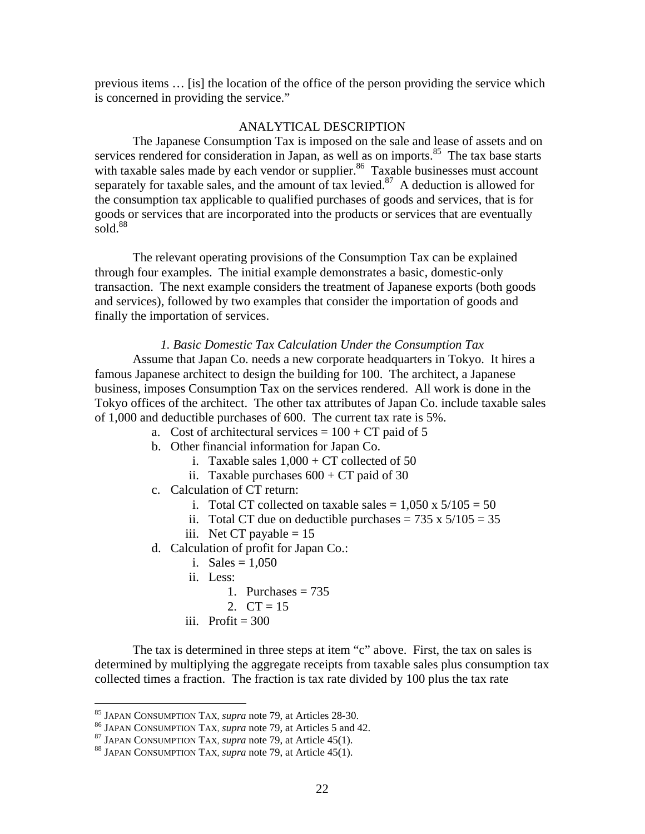previous items … [is] the location of the office of the person providing the service which is concerned in providing the service."

#### ANALYTICAL DESCRIPTION

 The Japanese Consumption Tax is imposed on the sale and lease of assets and on services rendered for consideration in Japan, as well as on imports.<sup>85</sup> The tax base starts with taxable sales made by each vendor or supplier.<sup>86</sup> Taxable businesses must account separately for taxable sales, and the amount of tax levied.<sup>87</sup> A deduction is allowed for the consumption tax applicable to qualified purchases of goods and services, that is for goods or services that are incorporated into the products or services that are eventually sold. $88$ 

The relevant operating provisions of the Consumption Tax can be explained through four examples. The initial example demonstrates a basic, domestic-only transaction. The next example considers the treatment of Japanese exports (both goods and services), followed by two examples that consider the importation of goods and finally the importation of services.

#### *1. Basic Domestic Tax Calculation Under the Consumption Tax*

Assume that Japan Co. needs a new corporate headquarters in Tokyo. It hires a famous Japanese architect to design the building for 100. The architect, a Japanese business, imposes Consumption Tax on the services rendered. All work is done in the Tokyo offices of the architect. The other tax attributes of Japan Co. include taxable sales of 1,000 and deductible purchases of 600. The current tax rate is 5%.

- a. Cost of architectural services  $= 100 + CT$  paid of 5
- b. Other financial information for Japan Co.
	- i. Taxable sales  $1,000 + CT$  collected of 50
	- ii. Taxable purchases  $600 + CT$  paid of 30
- c. Calculation of CT return:
	- i. Total CT collected on taxable sales =  $1,050 \times 5/105 = 50$
	- ii. Total CT due on deductible purchases =  $735 \times 5/105 = 35$
	- iii. Net CT payable  $= 15$
- d. Calculation of profit for Japan Co.:
	- i. Sales =  $1.050$
	- ii. Less:
		- 1. Purchases  $= 735$
		- 2.  $CT = 15$
	- iii. Profit  $= 300$

The tax is determined in three steps at item "c" above. First, the tax on sales is determined by multiplying the aggregate receipts from taxable sales plus consumption tax collected times a fraction. The fraction is tax rate divided by 100 plus the tax rate

<sup>&</sup>lt;sup>85</sup> JAPAN CONSUMPTION TAX, *supra* note 79, at Articles 28-30.

<sup>&</sup>lt;sup>86</sup> JAPAN CONSUMPTION TAX, *supra* note 79, at Articles 5 and 42.<br><sup>87</sup> JAPAN CONSUMPTION TAX, *supra* note 79, at Article 45(1).<br><sup>88</sup> JAPAN CONSUMPTION TAX, *supra* note 79, at Article 45(1).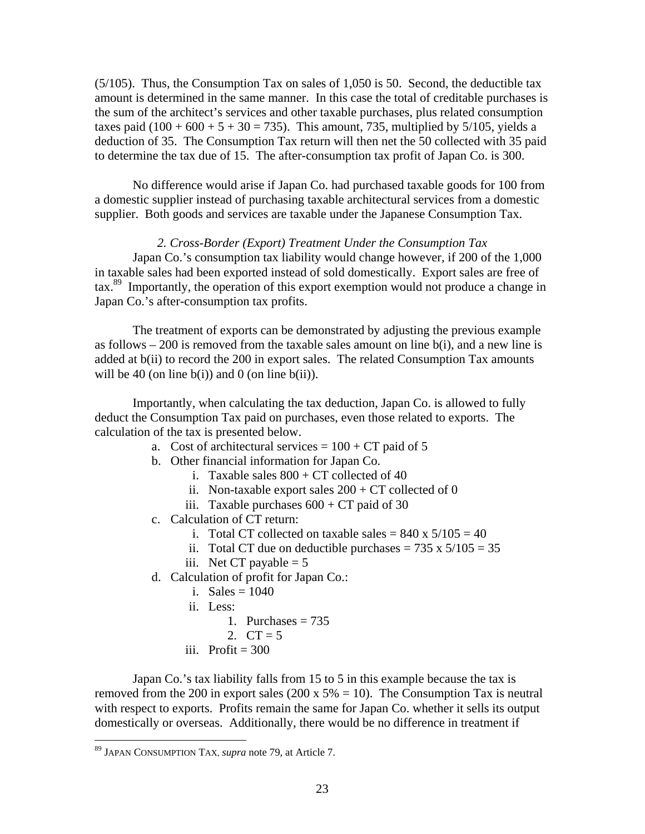(5/105). Thus, the Consumption Tax on sales of 1,050 is 50. Second, the deductible tax amount is determined in the same manner. In this case the total of creditable purchases is the sum of the architect's services and other taxable purchases, plus related consumption taxes paid  $(100 + 600 + 5 + 30 = 735)$ . This amount, 735, multiplied by 5/105, yields a deduction of 35. The Consumption Tax return will then net the 50 collected with 35 paid to determine the tax due of 15. The after-consumption tax profit of Japan Co. is 300.

No difference would arise if Japan Co. had purchased taxable goods for 100 from a domestic supplier instead of purchasing taxable architectural services from a domestic supplier. Both goods and services are taxable under the Japanese Consumption Tax.

#### *2. Cross-Border (Export) Treatment Under the Consumption Tax*

Japan Co.'s consumption tax liability would change however, if 200 of the 1,000 in taxable sales had been exported instead of sold domestically. Export sales are free of tax.<sup>89</sup> Importantly, the operation of this export exemption would not produce a change in Japan Co.'s after-consumption tax profits.

The treatment of exports can be demonstrated by adjusting the previous example as follows  $-200$  is removed from the taxable sales amount on line b(i), and a new line is added at b(ii) to record the 200 in export sales. The related Consumption Tax amounts will be 40 (on line b(i)) and 0 (on line b(ii)).

Importantly, when calculating the tax deduction, Japan Co. is allowed to fully deduct the Consumption Tax paid on purchases, even those related to exports. The calculation of the tax is presented below.

- a. Cost of architectural services =  $100 + CT$  paid of 5
- b. Other financial information for Japan Co.
	- i. Taxable sales  $800 + CT$  collected of 40
	- ii. Non-taxable export sales  $200 + CT$  collected of 0
	- iii. Taxable purchases  $600 + CT$  paid of 30
- c. Calculation of CT return:
	- i. Total CT collected on taxable sales =  $840 \times 5/105 = 40$
	- ii. Total CT due on deductible purchases =  $735 \times 5/105 = 35$
	- iii. Net CT payable  $= 5$
- d. Calculation of profit for Japan Co.:
	- i. Sales =  $1040$
	- ii. Less:
		- 1. Purchases  $= 735$
		- 2.  $CT = 5$
	- iii. Profit  $= 300$

Japan Co.'s tax liability falls from 15 to 5 in this example because the tax is removed from the 200 in export sales (200 x  $5\% = 10$ ). The Consumption Tax is neutral with respect to exports. Profits remain the same for Japan Co. whether it sells its output domestically or overseas. Additionally, there would be no difference in treatment if

<u>.</u>

<sup>89</sup> JAPAN CONSUMPTION TAX, *supra* note 79, at Article 7.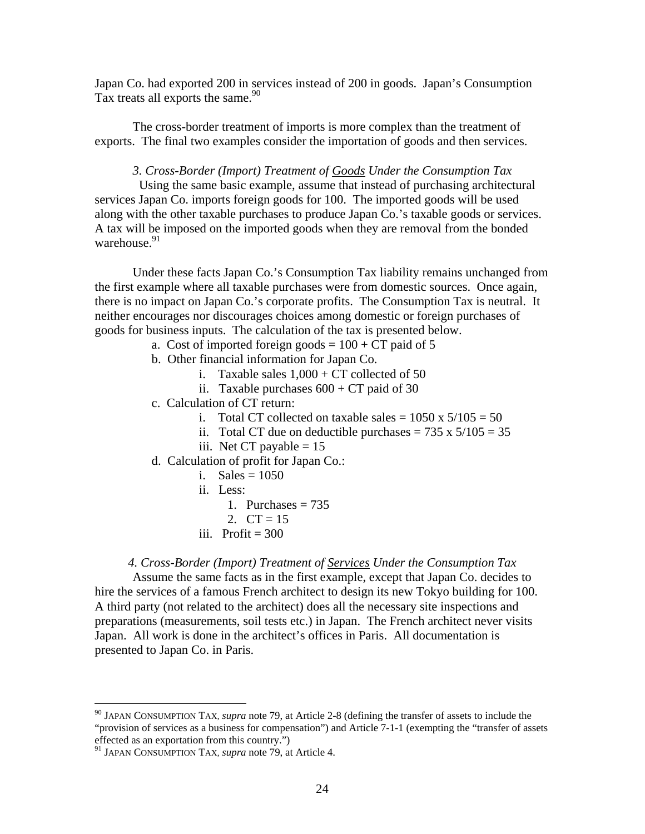Japan Co. had exported 200 in services instead of 200 in goods. Japan's Consumption Tax treats all exports the same. $90$ 

The cross-border treatment of imports is more complex than the treatment of exports. The final two examples consider the importation of goods and then services.

*3. Cross-Border (Import) Treatment of Goods Under the Consumption Tax* 

 Using the same basic example, assume that instead of purchasing architectural services Japan Co. imports foreign goods for 100. The imported goods will be used along with the other taxable purchases to produce Japan Co.'s taxable goods or services. A tax will be imposed on the imported goods when they are removal from the bonded warehouse.<sup>91</sup>

 Under these facts Japan Co.'s Consumption Tax liability remains unchanged from the first example where all taxable purchases were from domestic sources. Once again, there is no impact on Japan Co.'s corporate profits. The Consumption Tax is neutral. It neither encourages nor discourages choices among domestic or foreign purchases of goods for business inputs. The calculation of the tax is presented below.

- a. Cost of imported foreign goods =  $100 + CT$  paid of 5
- b. Other financial information for Japan Co.
	- i. Taxable sales  $1,000 + CT$  collected of 50
	- ii. Taxable purchases  $600 + CT$  paid of 30
- c. Calculation of CT return:
	- i. Total CT collected on taxable sales =  $1050 \times 5/105 = 50$
	- ii. Total CT due on deductible purchases =  $735 \times 5/105 = 35$
	- iii. Net CT payable  $= 15$
- d. Calculation of profit for Japan Co.:
	- i. Sales  $= 1050$
	- ii. Less:
		- 1. Purchases  $= 735$
	- 2.  $CT = 15$
	- iii. Profit  $= 300$

*4. Cross-Border (Import) Treatment of Services Under the Consumption Tax* 

 Assume the same facts as in the first example, except that Japan Co. decides to hire the services of a famous French architect to design its new Tokyo building for 100. A third party (not related to the architect) does all the necessary site inspections and preparations (measurements, soil tests etc.) in Japan. The French architect never visits Japan. All work is done in the architect's offices in Paris. All documentation is presented to Japan Co. in Paris.

<sup>90</sup> JAPAN CONSUMPTION TAX, *supra* note 79, at Article 2-8 (defining the transfer of assets to include the "provision of services as a business for compensation") and Article 7-1-1 (exempting the "transfer of assets effected as an exportation from this country.")

<sup>91</sup> JAPAN CONSUMPTION TAX, *supra* note 79, at Article 4.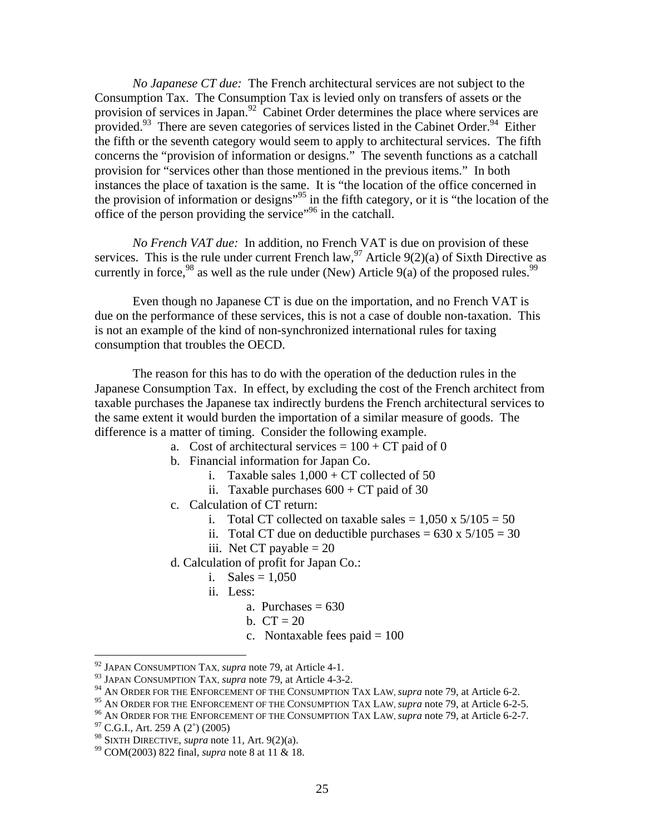*No Japanese CT due:* The French architectural services are not subject to the Consumption Tax. The Consumption Tax is levied only on transfers of assets or the provision of services in Japan.<sup>92</sup> Cabinet Order determines the place where services are provided.<sup>93</sup> There are seven categories of services listed in the Cabinet Order.<sup>94</sup> Either the fifth or the seventh category would seem to apply to architectural services. The fifth concerns the "provision of information or designs." The seventh functions as a catchall provision for "services other than those mentioned in the previous items." In both instances the place of taxation is the same. It is "the location of the office concerned in the provision of information or designs"<sup>95</sup> in the fifth category, or it is "the location of the office of the person providing the service"96 in the catchall.

*No French VAT due:* In addition, no French VAT is due on provision of these services. This is the rule under current French law,<sup>97</sup> Article 9(2)(a) of Sixth Directive as currently in force,<sup>98</sup> as well as the rule under (New) Article 9(a) of the proposed rules.<sup>99</sup>

Even though no Japanese CT is due on the importation, and no French VAT is due on the performance of these services, this is not a case of double non-taxation. This is not an example of the kind of non-synchronized international rules for taxing consumption that troubles the OECD.

The reason for this has to do with the operation of the deduction rules in the Japanese Consumption Tax. In effect, by excluding the cost of the French architect from taxable purchases the Japanese tax indirectly burdens the French architectural services to the same extent it would burden the importation of a similar measure of goods. The difference is a matter of timing. Consider the following example.

- a. Cost of architectural services  $= 100 + CT$  paid of 0
- b. Financial information for Japan Co.
	- i. Taxable sales  $1,000 + CT$  collected of 50
	- ii. Taxable purchases  $600 + CT$  paid of 30
- c. Calculation of CT return:
	- i. Total CT collected on taxable sales  $= 1,050 \times 5/105 = 50$
	- ii. Total CT due on deductible purchases =  $630 \times 5/105 = 30$
	- iii. Net CT payable  $= 20$
- d. Calculation of profit for Japan Co.:
	- i. Sales =  $1,050$
	- ii. Less:
		- a. Purchases  $= 630$
		- b.  $CT = 20$
		- c. Nontaxable fees paid  $= 100$

<sup>92</sup> JAPAN CONSUMPTION TAX, *supra* note 79, at Article 4-1.

<sup>93</sup> JAPAN CONSUMPTION TAX, *supra* note 79, at Article 4-3-2.

<sup>&</sup>lt;sup>94</sup> AN ORDER FOR THE ENFORCEMENT OF THE CONSUMPTION TAX LAW, *supra* note 79, at Article 6-2.<br><sup>95</sup> AN ORDER FOR THE ENFORCEMENT OF THE CONSUMPTION TAX LAW, *supra* note 79, at Article 6-2-5.

<sup>&</sup>lt;sup>96</sup> AN ORDER FOR THE ENFORCEMENT OF THE CONSUMPTION TAX LAW, *supra* note 79, at Article 6-2-7.<br><sup>97</sup> C.G.I., Art. 259 A (2°) (2005)

<sup>98</sup> SIXTH DIRECTIVE, *supra* note 11, Art. 9(2)(a). 99 COM(2003) 822 final, *supra* note 8 at 11 & 18.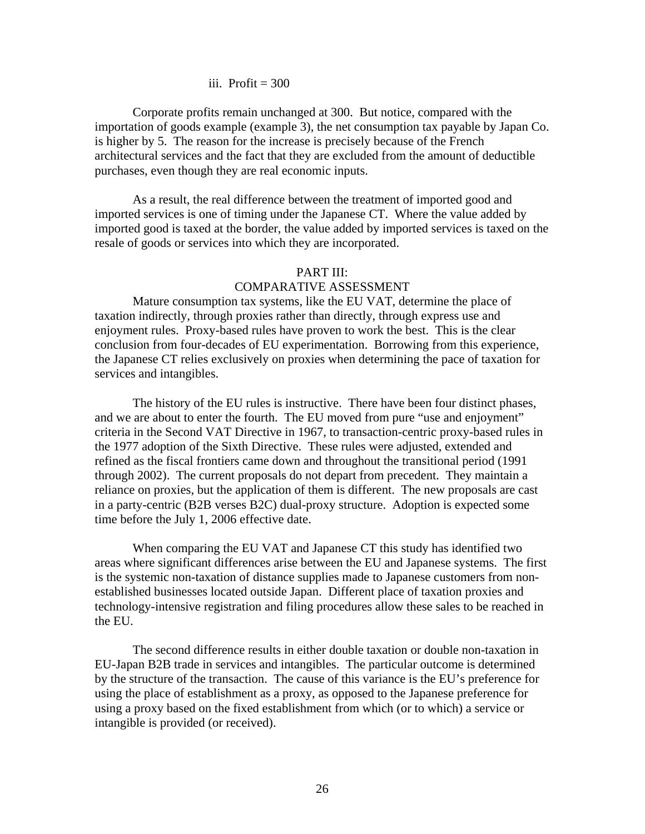#### iii. Profit  $= 300$

 Corporate profits remain unchanged at 300. But notice, compared with the importation of goods example (example 3), the net consumption tax payable by Japan Co. is higher by 5. The reason for the increase is precisely because of the French architectural services and the fact that they are excluded from the amount of deductible purchases, even though they are real economic inputs.

As a result, the real difference between the treatment of imported good and imported services is one of timing under the Japanese CT. Where the value added by imported good is taxed at the border, the value added by imported services is taxed on the resale of goods or services into which they are incorporated.

#### PART III:

#### COMPARATIVE ASSESSMENT

 Mature consumption tax systems, like the EU VAT, determine the place of taxation indirectly, through proxies rather than directly, through express use and enjoyment rules. Proxy-based rules have proven to work the best. This is the clear conclusion from four-decades of EU experimentation. Borrowing from this experience, the Japanese CT relies exclusively on proxies when determining the pace of taxation for services and intangibles.

The history of the EU rules is instructive. There have been four distinct phases, and we are about to enter the fourth. The EU moved from pure "use and enjoyment" criteria in the Second VAT Directive in 1967, to transaction-centric proxy-based rules in the 1977 adoption of the Sixth Directive. These rules were adjusted, extended and refined as the fiscal frontiers came down and throughout the transitional period (1991 through 2002). The current proposals do not depart from precedent. They maintain a reliance on proxies, but the application of them is different. The new proposals are cast in a party-centric (B2B verses B2C) dual-proxy structure. Adoption is expected some time before the July 1, 2006 effective date.

When comparing the EU VAT and Japanese CT this study has identified two areas where significant differences arise between the EU and Japanese systems. The first is the systemic non-taxation of distance supplies made to Japanese customers from nonestablished businesses located outside Japan. Different place of taxation proxies and technology-intensive registration and filing procedures allow these sales to be reached in the EU.

The second difference results in either double taxation or double non-taxation in EU-Japan B2B trade in services and intangibles. The particular outcome is determined by the structure of the transaction. The cause of this variance is the EU's preference for using the place of establishment as a proxy, as opposed to the Japanese preference for using a proxy based on the fixed establishment from which (or to which) a service or intangible is provided (or received).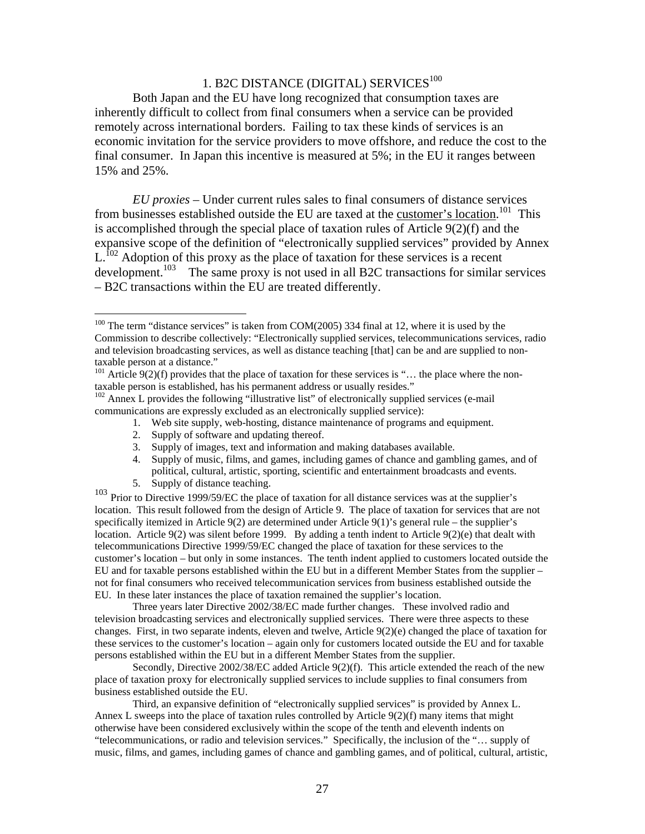### 1. B2C DISTANCE (DIGITAL) SERVICES<sup>100</sup>

Both Japan and the EU have long recognized that consumption taxes are inherently difficult to collect from final consumers when a service can be provided remotely across international borders. Failing to tax these kinds of services is an economic invitation for the service providers to move offshore, and reduce the cost to the final consumer. In Japan this incentive is measured at 5%; in the EU it ranges between 15% and 25%.

*EU proxies –* Under current rules sales to final consumers of distance services from businesses established outside the EU are taxed at the customer's location.<sup>101</sup> This is accomplished through the special place of taxation rules of Article 9(2)(f) and the expansive scope of the definition of "electronically supplied services" provided by Annex  $L<sup>102</sup>$  Adoption of this proxy as the place of taxation for these services is a recent development.<sup>103</sup> The same proxy is not used in all B2C transactions for similar services – B2C transactions within the EU are treated differently.

- 1. Web site supply, web-hosting, distance maintenance of programs and equipment.
- 2. Supply of software and updating thereof.
- 3. Supply of images, text and information and making databases available.
- 4. Supply of music, films, and games, including games of chance and gambling games, and of political, cultural, artistic, sporting, scientific and entertainment broadcasts and events.
- 5. Supply of distance teaching.

1

<sup>103</sup> Prior to Directive 1999/59/EC the place of taxation for all distance services was at the supplier's location. This result followed from the design of Article 9. The place of taxation for services that are not specifically itemized in Article 9(2) are determined under Article 9(1)'s general rule – the supplier's location. Article 9(2) was silent before 1999. By adding a tenth indent to Article 9(2)(e) that dealt with telecommunications Directive 1999/59/EC changed the place of taxation for these services to the customer's location – but only in some instances. The tenth indent applied to customers located outside the EU and for taxable persons established within the EU but in a different Member States from the supplier – not for final consumers who received telecommunication services from business established outside the EU. In these later instances the place of taxation remained the supplier's location.

Three years later Directive 2002/38/EC made further changes. These involved radio and television broadcasting services and electronically supplied services. There were three aspects to these changes. First, in two separate indents, eleven and twelve, Article 9(2)(e) changed the place of taxation for these services to the customer's location – again only for customers located outside the EU and for taxable persons established within the EU but in a different Member States from the supplier.

Secondly, Directive 2002/38/EC added Article 9(2)(f). This article extended the reach of the new place of taxation proxy for electronically supplied services to include supplies to final consumers from business established outside the EU.

Third, an expansive definition of "electronically supplied services" is provided by Annex L. Annex L sweeps into the place of taxation rules controlled by Article  $9(2)(f)$  many items that might otherwise have been considered exclusively within the scope of the tenth and eleventh indents on "telecommunications, or radio and television services." Specifically, the inclusion of the "… supply of music, films, and games, including games of chance and gambling games, and of political, cultural, artistic,

 $100$  The term "distance services" is taken from COM(2005) 334 final at 12, where it is used by the Commission to describe collectively: "Electronically supplied services, telecommunications services, radio and television broadcasting services, as well as distance teaching [that] can be and are supplied to nontaxable person at a distance."

 $101$  Article 9(2)(f) provides that the place of taxation for these services is "... the place where the nontaxable person is established, has his permanent address or usually resides."

<sup>&</sup>lt;sup>102</sup> Annex L provides the following "illustrative list" of electronically supplied services (e-mail communications are expressly excluded as an electronically supplied service):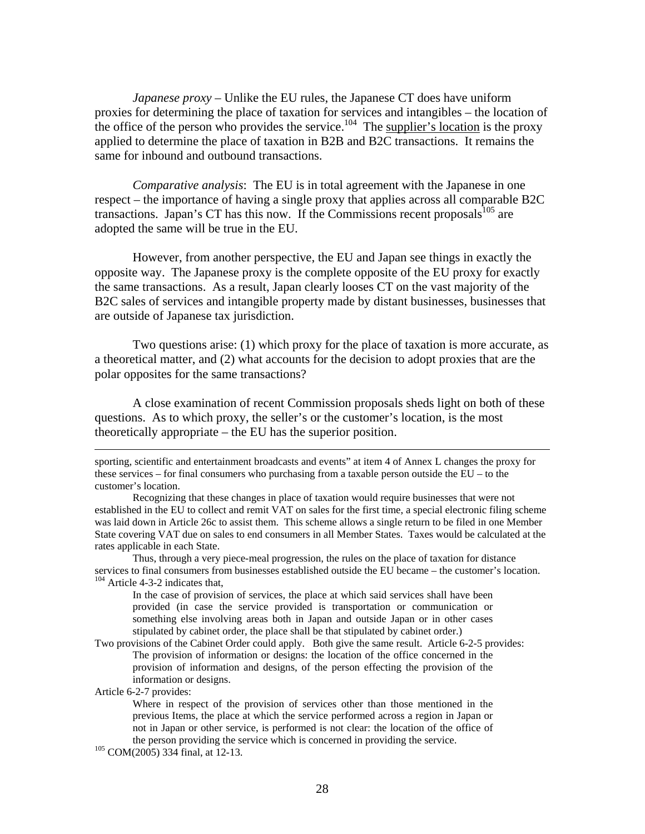*Japanese proxy* – Unlike the EU rules, the Japanese CT does have uniform proxies for determining the place of taxation for services and intangibles – the location of the office of the person who provides the service.<sup>104</sup> The supplier's location is the proxy applied to determine the place of taxation in B2B and B2C transactions. It remains the same for inbound and outbound transactions.

*Comparative analysis*: The EU is in total agreement with the Japanese in one respect – the importance of having a single proxy that applies across all comparable B2C transactions. Japan's CT has this now. If the Commissions recent proposals<sup>105</sup> are adopted the same will be true in the EU.

However, from another perspective, the EU and Japan see things in exactly the opposite way. The Japanese proxy is the complete opposite of the EU proxy for exactly the same transactions. As a result, Japan clearly looses CT on the vast majority of the B2C sales of services and intangible property made by distant businesses, businesses that are outside of Japanese tax jurisdiction.

Two questions arise: (1) which proxy for the place of taxation is more accurate, as a theoretical matter, and (2) what accounts for the decision to adopt proxies that are the polar opposites for the same transactions?

A close examination of recent Commission proposals sheds light on both of these questions. As to which proxy, the seller's or the customer's location, is the most theoretically appropriate – the EU has the superior position.

 sporting, scientific and entertainment broadcasts and events" at item 4 of Annex L changes the proxy for these services – for final consumers who purchasing from a taxable person outside the EU – to the customer's location.

Recognizing that these changes in place of taxation would require businesses that were not established in the EU to collect and remit VAT on sales for the first time, a special electronic filing scheme was laid down in Article 26c to assist them. This scheme allows a single return to be filed in one Member State covering VAT due on sales to end consumers in all Member States. Taxes would be calculated at the rates applicable in each State.

Thus, through a very piece-meal progression, the rules on the place of taxation for distance services to final consumers from businesses established outside the EU became – the customer's location. <sup>104</sup> Article 4-3-2 indicates that,

In the case of provision of services, the place at which said services shall have been provided (in case the service provided is transportation or communication or something else involving areas both in Japan and outside Japan or in other cases stipulated by cabinet order, the place shall be that stipulated by cabinet order.)

Two provisions of the Cabinet Order could apply. Both give the same result. Article 6-2-5 provides: The provision of information or designs: the location of the office concerned in the provision of information and designs, of the person effecting the provision of the information or designs.

Article 6-2-7 provides:

Where in respect of the provision of services other than those mentioned in the previous Items, the place at which the service performed across a region in Japan or not in Japan or other service, is performed is not clear: the location of the office of the person providing the service which is concerned in providing the service. 105 COM(2005) 334 final, at 12-13.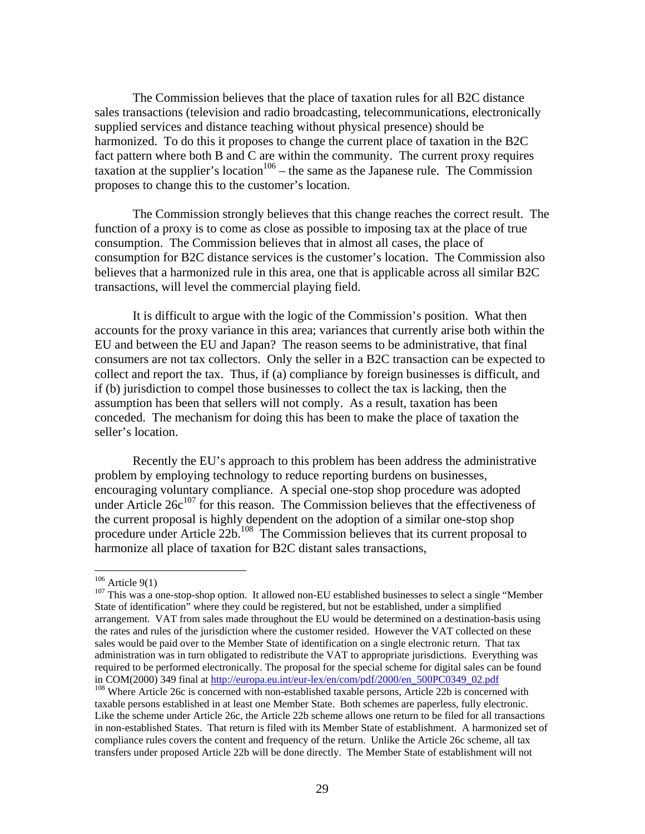The Commission believes that the place of taxation rules for all B2C distance sales transactions (television and radio broadcasting, telecommunications, electronically supplied services and distance teaching without physical presence) should be harmonized. To do this it proposes to change the current place of taxation in the B2C fact pattern where both B and C are within the community. The current proxy requires taxation at the supplier's location<sup>106</sup> – the same as the Japanese rule. The Commission proposes to change this to the customer's location.

The Commission strongly believes that this change reaches the correct result. The function of a proxy is to come as close as possible to imposing tax at the place of true consumption. The Commission believes that in almost all cases, the place of consumption for B2C distance services is the customer's location. The Commission also believes that a harmonized rule in this area, one that is applicable across all similar B2C transactions, will level the commercial playing field.

It is difficult to argue with the logic of the Commission's position. What then accounts for the proxy variance in this area; variances that currently arise both within the EU and between the EU and Japan? The reason seems to be administrative, that final consumers are not tax collectors. Only the seller in a B2C transaction can be expected to collect and report the tax. Thus, if (a) compliance by foreign businesses is difficult, and if (b) jurisdiction to compel those businesses to collect the tax is lacking, then the assumption has been that sellers will not comply. As a result, taxation has been conceded. The mechanism for doing this has been to make the place of taxation the seller's location.

Recently the EU's approach to this problem has been address the administrative problem by employing technology to reduce reporting burdens on businesses, encouraging voluntary compliance. A special one-stop shop procedure was adopted under Article  $26c^{107}$  for this reason. The Commission believes that the effectiveness of the current proposal is highly dependent on the adoption of a similar one-stop shop procedure under Article 22b.<sup>108</sup> The Commission believes that its current proposal to harmonize all place of taxation for B2C distant sales transactions,

 $106$  Article 9(1)

 $107$  This was a one-stop-shop option. It allowed non-EU established businesses to select a single "Member State of identification" where they could be registered, but not be established, under a simplified arrangement. VAT from sales made throughout the EU would be determined on a destination-basis using the rates and rules of the jurisdiction where the customer resided. However the VAT collected on these sales would be paid over to the Member State of identification on a single electronic return. That tax administration was in turn obligated to redistribute the VAT to appropriate jurisdictions. Everything was required to be performed electronically. The proposal for the special scheme for digital sales can be found in COM(2000) 349 final at http://europa.eu.int/eur-lex/en/com/pdf/2000/en\_500PC0349\_02.pdf 108 Where Article 26c is concerned with non-established taxable persons, Article 22b is concerned with

taxable persons established in at least one Member State. Both schemes are paperless, fully electronic. Like the scheme under Article 26c, the Article 22b scheme allows one return to be filed for all transactions in non-established States. That return is filed with its Member State of establishment. A harmonized set of compliance rules covers the content and frequency of the return. Unlike the Article 26c scheme, all tax transfers under proposed Article 22b will be done directly. The Member State of establishment will not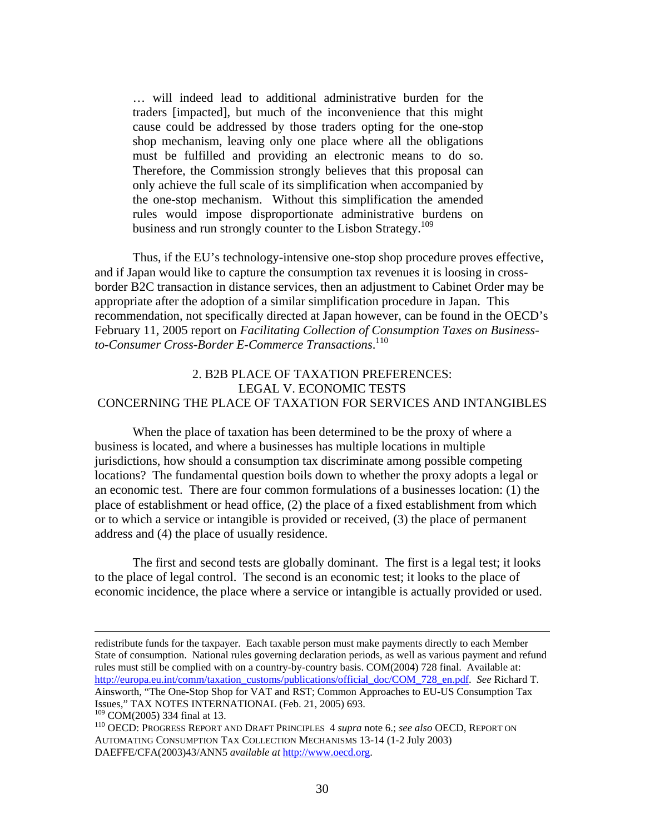… will indeed lead to additional administrative burden for the traders [impacted], but much of the inconvenience that this might cause could be addressed by those traders opting for the one-stop shop mechanism, leaving only one place where all the obligations must be fulfilled and providing an electronic means to do so. Therefore, the Commission strongly believes that this proposal can only achieve the full scale of its simplification when accompanied by the one-stop mechanism. Without this simplification the amended rules would impose disproportionate administrative burdens on business and run strongly counter to the Lisbon Strategy.<sup>109</sup>

 Thus, if the EU's technology-intensive one-stop shop procedure proves effective, and if Japan would like to capture the consumption tax revenues it is loosing in crossborder B2C transaction in distance services, then an adjustment to Cabinet Order may be appropriate after the adoption of a similar simplification procedure in Japan. This recommendation, not specifically directed at Japan however, can be found in the OECD's February 11, 2005 report on *Facilitating Collection of Consumption Taxes on Businessto-Consumer Cross-Border E-Commerce Transactions*. 110

#### 2. B2B PLACE OF TAXATION PREFERENCES: LEGAL V. ECONOMIC TESTS CONCERNING THE PLACE OF TAXATION FOR SERVICES AND INTANGIBLES

 When the place of taxation has been determined to be the proxy of where a business is located, and where a businesses has multiple locations in multiple jurisdictions, how should a consumption tax discriminate among possible competing locations? The fundamental question boils down to whether the proxy adopts a legal or an economic test. There are four common formulations of a businesses location: (1) the place of establishment or head office, (2) the place of a fixed establishment from which or to which a service or intangible is provided or received, (3) the place of permanent address and (4) the place of usually residence.

The first and second tests are globally dominant. The first is a legal test; it looks to the place of legal control. The second is an economic test; it looks to the place of economic incidence, the place where a service or intangible is actually provided or used.

redistribute funds for the taxpayer. Each taxable person must make payments directly to each Member State of consumption. National rules governing declaration periods, as well as various payment and refund rules must still be complied with on a country-by-country basis. COM(2004) 728 final. Available at: http://europa.eu.int/comm/taxation\_customs/publications/official\_doc/COM\_728\_en.pdf. *See* Richard T. Ainsworth, "The One-Stop Shop for VAT and RST; Common Approaches to EU-US Consumption Tax Issues," TAX NOTES INTERNATIONAL (Feb. 21, 2005) 693.<br><sup>109</sup> COM(2005) 334 final at 13.

<sup>&</sup>lt;sup>110</sup> OECD: PROGRESS REPORT AND DRAFT PRINCIPLES 4 *supra* note 6.; *see also* OECD, REPORT ON AUTOMATING CONSUMPTION TAX COLLECTION MECHANISMS 13-14 (1-2 July 2003) DAEFFE/CFA(2003)43/ANN5 *available at* http://www.oecd.org.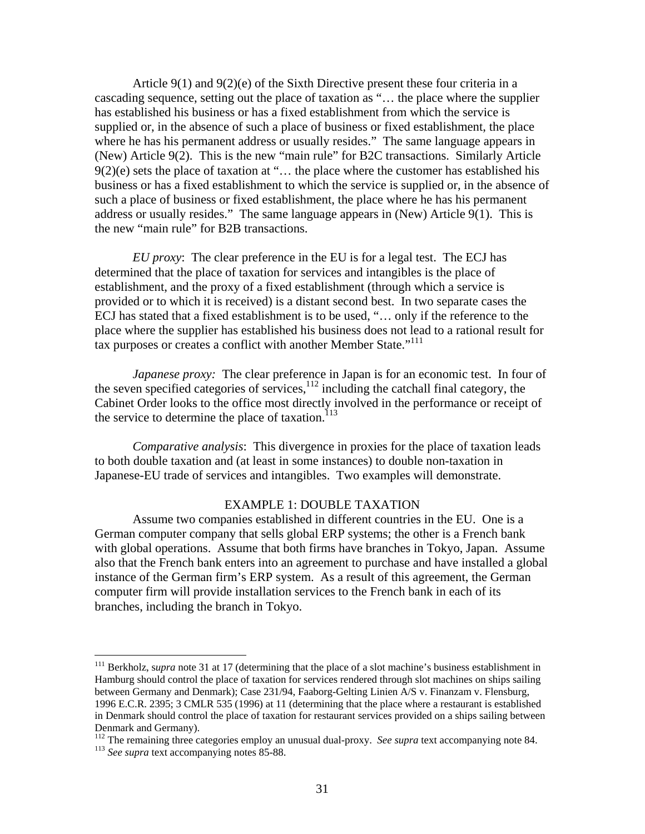Article 9(1) and 9(2)(e) of the Sixth Directive present these four criteria in a cascading sequence, setting out the place of taxation as "… the place where the supplier has established his business or has a fixed establishment from which the service is supplied or, in the absence of such a place of business or fixed establishment, the place where he has his permanent address or usually resides." The same language appears in (New) Article 9(2). This is the new "main rule" for B2C transactions. Similarly Article  $9(2)(e)$  sets the place of taxation at "... the place where the customer has established his business or has a fixed establishment to which the service is supplied or, in the absence of such a place of business or fixed establishment, the place where he has his permanent address or usually resides." The same language appears in (New) Article 9(1). This is the new "main rule" for B2B transactions.

*EU proxy*: The clear preference in the EU is for a legal test. The ECJ has determined that the place of taxation for services and intangibles is the place of establishment, and the proxy of a fixed establishment (through which a service is provided or to which it is received) is a distant second best. In two separate cases the ECJ has stated that a fixed establishment is to be used, "… only if the reference to the place where the supplier has established his business does not lead to a rational result for tax purposes or creates a conflict with another Member State."<sup>111</sup>

*Japanese proxy:* The clear preference in Japan is for an economic test. In four of the seven specified categories of services, $112$  including the catchall final category, the Cabinet Order looks to the office most directly involved in the performance or receipt of the service to determine the place of taxation. $^{113}$ 

*Comparative analysis*: This divergence in proxies for the place of taxation leads to both double taxation and (at least in some instances) to double non-taxation in Japanese-EU trade of services and intangibles. Two examples will demonstrate.

#### EXAMPLE 1: DOUBLE TAXATION

Assume two companies established in different countries in the EU. One is a German computer company that sells global ERP systems; the other is a French bank with global operations. Assume that both firms have branches in Tokyo, Japan. Assume also that the French bank enters into an agreement to purchase and have installed a global instance of the German firm's ERP system. As a result of this agreement, the German computer firm will provide installation services to the French bank in each of its branches, including the branch in Tokyo.

<sup>&</sup>lt;sup>111</sup> Berkholz, supra note 31 at 17 (determining that the place of a slot machine's business establishment in Hamburg should control the place of taxation for services rendered through slot machines on ships sailing between Germany and Denmark); Case 231/94, Faaborg-Gelting Linien A/S v. Finanzam v. Flensburg, 1996 E.C.R. 2395; 3 CMLR 535 (1996) at 11 (determining that the place where a restaurant is established in Denmark should control the place of taxation for restaurant services provided on a ships sailing between Denmark and Germany).

<sup>&</sup>lt;sup>112</sup> The remaining three categories employ an unusual dual-proxy. *See supra* text accompanying note 84. <sup>113</sup> *See supra* text accompanying notes 85-88.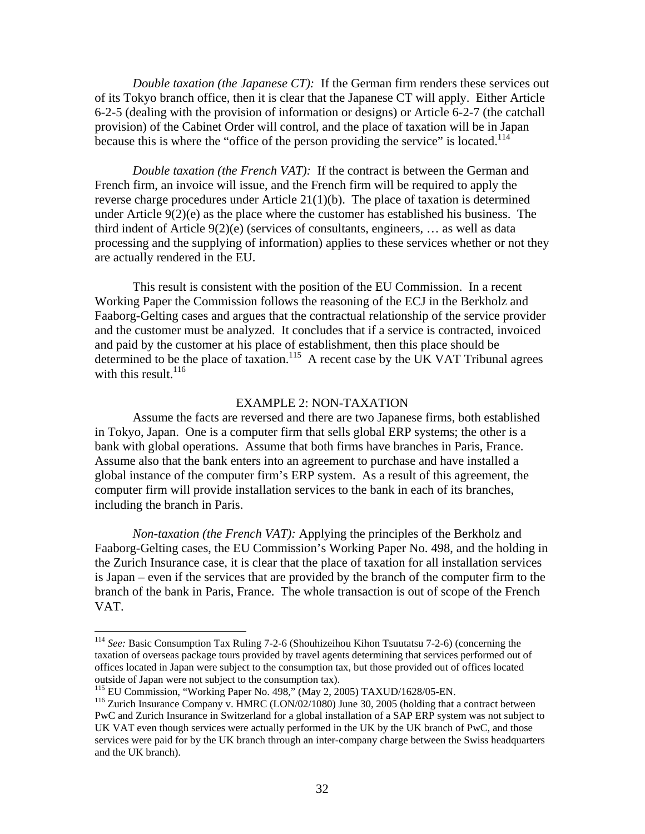*Double taxation (the Japanese CT):* If the German firm renders these services out of its Tokyo branch office, then it is clear that the Japanese CT will apply. Either Article 6-2-5 (dealing with the provision of information or designs) or Article 6-2-7 (the catchall provision) of the Cabinet Order will control, and the place of taxation will be in Japan because this is where the "office of the person providing the service" is located.<sup>114</sup>

*Double taxation (the French VAT):* If the contract is between the German and French firm, an invoice will issue, and the French firm will be required to apply the reverse charge procedures under Article 21(1)(b). The place of taxation is determined under Article 9(2)(e) as the place where the customer has established his business. The third indent of Article 9(2)(e) (services of consultants, engineers, … as well as data processing and the supplying of information) applies to these services whether or not they are actually rendered in the EU.

 This result is consistent with the position of the EU Commission. In a recent Working Paper the Commission follows the reasoning of the ECJ in the Berkholz and Faaborg-Gelting cases and argues that the contractual relationship of the service provider and the customer must be analyzed. It concludes that if a service is contracted, invoiced and paid by the customer at his place of establishment, then this place should be determined to be the place of taxation.<sup>115</sup> A recent case by the UK VAT Tribunal agrees with this result. $116$ 

#### EXAMPLE 2: NON-TAXATION

 Assume the facts are reversed and there are two Japanese firms, both established in Tokyo, Japan. One is a computer firm that sells global ERP systems; the other is a bank with global operations. Assume that both firms have branches in Paris, France. Assume also that the bank enters into an agreement to purchase and have installed a global instance of the computer firm's ERP system. As a result of this agreement, the computer firm will provide installation services to the bank in each of its branches, including the branch in Paris.

*Non-taxation (the French VAT):* Applying the principles of the Berkholz and Faaborg-Gelting cases, the EU Commission's Working Paper No. 498, and the holding in the Zurich Insurance case, it is clear that the place of taxation for all installation services is Japan – even if the services that are provided by the branch of the computer firm to the branch of the bank in Paris, France. The whole transaction is out of scope of the French VAT.

<sup>114</sup> *See:* Basic Consumption Tax Ruling 7-2-6 (Shouhizeihou Kihon Tsuutatsu 7-2-6) (concerning the taxation of overseas package tours provided by travel agents determining that services performed out of offices located in Japan were subject to the consumption tax, but those provided out of offices located outside of Japan were not subject to the consumption tax).<br><sup>115</sup> EU Commission, "Working Paper No. 498," (May 2, 2005) TAXUD/1628/05-EN.

<sup>&</sup>lt;sup>116</sup> Zurich Insurance Company v. HMRC (LON/02/1080) June 30, 2005 (holding that a contract between PwC and Zurich Insurance in Switzerland for a global installation of a SAP ERP system was not subject to UK VAT even though services were actually performed in the UK by the UK branch of PwC, and those services were paid for by the UK branch through an inter-company charge between the Swiss headquarters and the UK branch).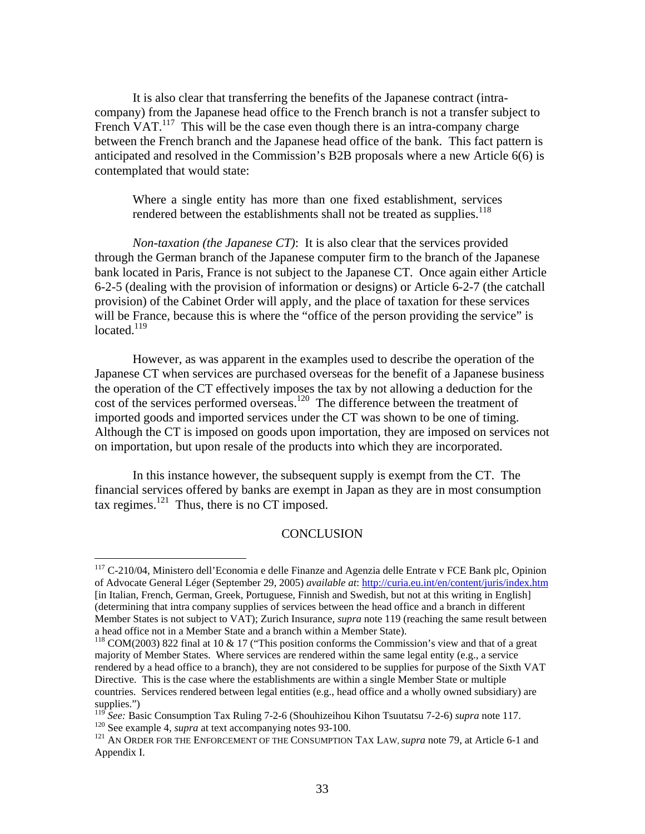It is also clear that transferring the benefits of the Japanese contract (intracompany) from the Japanese head office to the French branch is not a transfer subject to French VAT.<sup>117</sup> This will be the case even though there is an intra-company charge between the French branch and the Japanese head office of the bank. This fact pattern is anticipated and resolved in the Commission's B2B proposals where a new Article 6(6) is contemplated that would state:

Where a single entity has more than one fixed establishment, services rendered between the establishments shall not be treated as supplies.<sup>118</sup>

*Non-taxation (the Japanese CT)*: It is also clear that the services provided through the German branch of the Japanese computer firm to the branch of the Japanese bank located in Paris, France is not subject to the Japanese CT. Once again either Article 6-2-5 (dealing with the provision of information or designs) or Article 6-2-7 (the catchall provision) of the Cabinet Order will apply, and the place of taxation for these services will be France, because this is where the "office of the person providing the service" is  $located.<sup>119</sup>$ 

 However, as was apparent in the examples used to describe the operation of the Japanese CT when services are purchased overseas for the benefit of a Japanese business the operation of the CT effectively imposes the tax by not allowing a deduction for the cost of the services performed overseas.<sup>120</sup> The difference between the treatment of imported goods and imported services under the CT was shown to be one of timing. Although the CT is imposed on goods upon importation, they are imposed on services not on importation, but upon resale of the products into which they are incorporated.

 In this instance however, the subsequent supply is exempt from the CT. The financial services offered by banks are exempt in Japan as they are in most consumption tax regimes.<sup>121</sup> Thus, there is no CT imposed.

#### **CONCLUSION**

<sup>&</sup>lt;sup>117</sup> C-210/04, Ministero dell'Economia e delle Finanze and Agenzia delle Entrate v FCE Bank plc, Opinion of Advocate General Léger (September 29, 2005) *available at*: http://curia.eu.int/en/content/juris/index.htm [in Italian, French, German, Greek, Portuguese, Finnish and Swedish, but not at this writing in English] (determining that intra company supplies of services between the head office and a branch in different Member States is not subject to VAT); Zurich Insurance, *supra* note 119 (reaching the same result between a head office not in a Member State and a branch within a Member State).<br><sup>118</sup> COM(2003) 822 final at 10 & 17 ("This position conforms the Commission's view and that of a great

majority of Member States. Where services are rendered within the same legal entity (e.g., a service rendered by a head office to a branch), they are not considered to be supplies for purpose of the Sixth VAT Directive. This is the case where the establishments are within a single Member State or multiple countries. Services rendered between legal entities (e.g., head office and a wholly owned subsidiary) are supplies.")<br><sup>119</sup> See: Basic Consumption Tax Ruling 7-2-6 (Shouhizeihou Kihon Tsuutatsu 7-2-6) supra note 117.

<sup>120</sup> See. Basic Consumption Tax Number 2. 2 Consumersition Consumer Consumer 2. 2012<br>
<sup>120</sup> See example 4, *supra* at text accompanying notes 93-100.<br>
<sup>121</sup> AN ORDER FOR THE ENFORCEMENT OF THE CONSUMPTION TAX LAW, *supra* n

Appendix I.